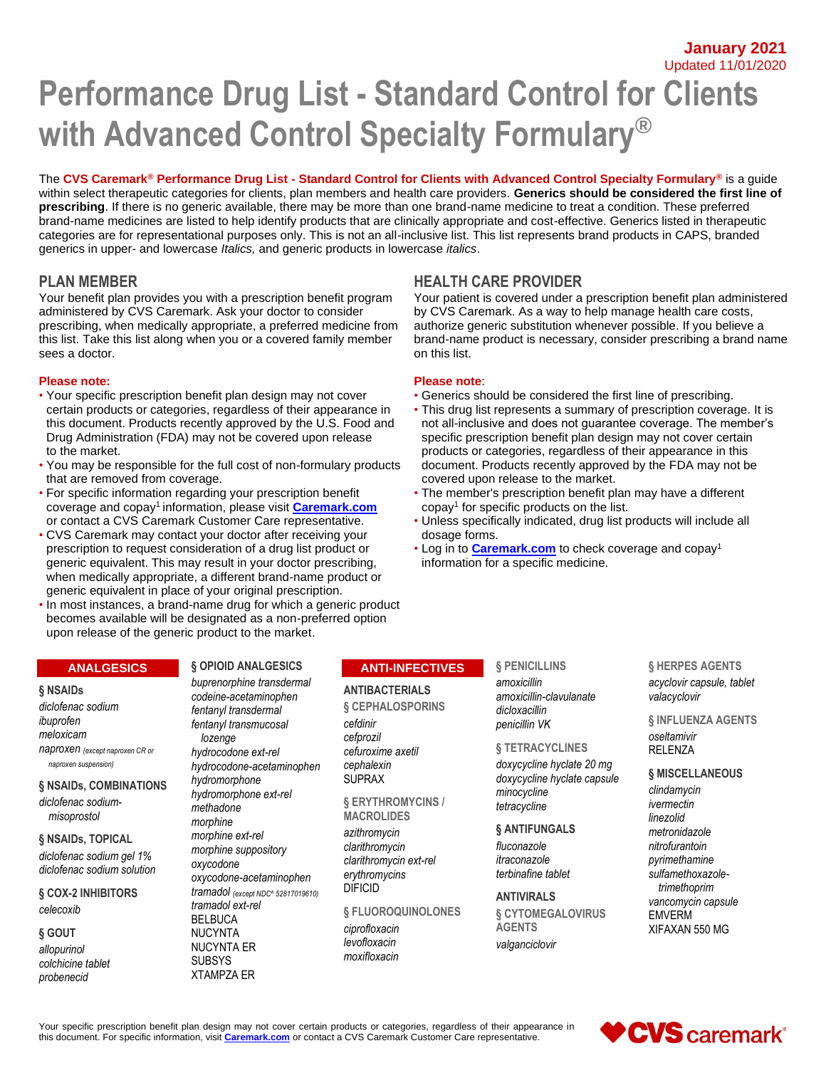**January 2021** Updated 11/01/2020

# **Performance Drug List - Standard Control for Clients with Advanced Control Specialty Formulary®**

The **CVS Caremark® Performance Drug List - Standard Control for Clients with Advanced Control Specialty Formulary®** is a guide within select therapeutic categories for clients, plan members and health care providers. **Generics should be considered the first line of prescribing**. If there is no generic available, there may be more than one brand-name medicine to treat a condition. These preferred brand-name medicines are listed to help identify products that are clinically appropriate and cost-effective. Generics listed in therapeutic categories are for representational purposes only. This is not an all-inclusive list. This list represents brand products in CAPS, branded generics in upper- and lowercase *Italics,* and generic products in lowercase *italics*.

## **PLAN MEMBER HEALTH CARE PROVIDER**

Your benefit plan provides you with a prescription benefit program administered by CVS Caremark. Ask your doctor to consider prescribing, when medically appropriate, a preferred medicine from this list. Take this list along when you or a covered family member sees a doctor.

#### **Please note: Please note**:

- Your specific prescription benefit plan design may not cover Generics should be considered the first line of prescribing. certain products or categories, regardless of their appearance in • This drug list represents a summary of prescription coverage. It is this document. Products recently approved by the U.S. Food and not all-inclusive and does not guarantee coverage. The member's Drug Administration (FDA) may not be covered upon release specific prescription benefit plan design may not cover certain to the market. products or categories, regardless of their appearance in this
- You may be responsible for the full cost of non-formulary products document. Products recently approved by the FDA may not be that are removed from coverage. The market covered upon release to the market.
- For specific information regarding your prescription benefit The member's prescription benefit plan may have a different coverage and copay<sup>1</sup> information, please visit **[Caremark.com](https://www.caremark.com/)** or contact a CVS Caremark Customer Care representative. • Unless specifically indicated, drug list products will include all
- CVS Caremark may contact your doctor after receiving your dosage forms.<br>
prescription to request consideration of a drug list product or **extincial only by the Caremark.com** to check coverage and copay<sup>1</sup> prescription to request consideration of a drug list product or **•** Log in to **[Caremark.com](https://www.caremark.com/)** to check consideration of a specific medicine. generic equivalent. This may result in your doctor prescribing, when medically appropriate, a different brand-name product or generic equivalent in place of your original prescription.
- In most instances, a brand-name drug for which a generic product becomes available will be designated as a non-preferred option upon release of the generic product to the market.

#### **ANALGESICS**

#### **§ NSAIDs**

*diclofenac sodium ibuprofen meloxicam naproxen (except naproxen CR or naproxen suspension)*

**§ NSAIDs, COMBINATIONS** *diclofenac sodiummisoprostol*

#### **§ NSAIDs, TOPICAL** *diclofenac sodium gel 1% diclofenac sodium solution*

**§ COX-2 INHIBITORS**

*celecoxib*

**§ GOUT** *allopurinol colchicine tablet probenecid*

#### *buprenorphine transdermal codeine-acetaminophen fentanyl transdermal*

**§ OPIOID ANALGESICS**

*fentanyl transmucosal lozenge hydrocodone ext-rel hydrocodone-acetaminophen hydromorphone hydromorphone ext-rel methadone morphine morphine ext-rel morphine suppository oxycodone oxycodone-acetaminophen tramadol (except NDC^ 52817019610) tramadol ext-rel* BELBUCA NUCYNTA NUCYNTA ER SUBSYS XTAMPZA ER

# copay<sup>1</sup> for specific products on the list.

on this list.

Your patient is covered under a prescription benefit plan administered by CVS Caremark. As a way to help manage health care costs, authorize generic substitution whenever possible. If you believe a brand-name product is necessary, consider prescribing a brand name

#### **ANTI-INFECTIVES**

#### **ANTIBACTERIALS**

**§ CEPHALOSPORINS** *cefdinir cefprozil cefuroxime axetil cephalexin* SUPRAX

**§ ERYTHROMYCINS / MACROLIDES**

*azithromycin clarithromycin clarithromycin ext-rel erythromycins* DIFICID

**§ FLUOROQUINOLONES** *ciprofloxacin levofloxacin moxifloxacin*

#### **§ PENICILLINS**

*amoxicillin amoxicillin-clavulanate dicloxacillin penicillin VK*

#### **§ TETRACYCLINES**

*doxycycline hyclate 20 mg doxycycline hyclate capsule minocycline tetracycline*

#### **§ ANTIFUNGALS**

*fluconazole itraconazole terbinafine tablet*

#### **ANTIVIRALS**

**§ CYTOMEGALOVIRUS AGENTS** *valganciclovir*

**§ HERPES AGENTS** *acyclovir capsule, tablet valacyclovir*

#### **§ INFLUENZA AGENTS** *oseltamivir* RELENZA

#### **§ MISCELLANEOUS**

*clindamycin ivermectin linezolid metronidazole nitrofurantoin pyrimethamine sulfamethoxazoletrimethoprim vancomycin capsule* EMVERM XIFAXAN 550 MG

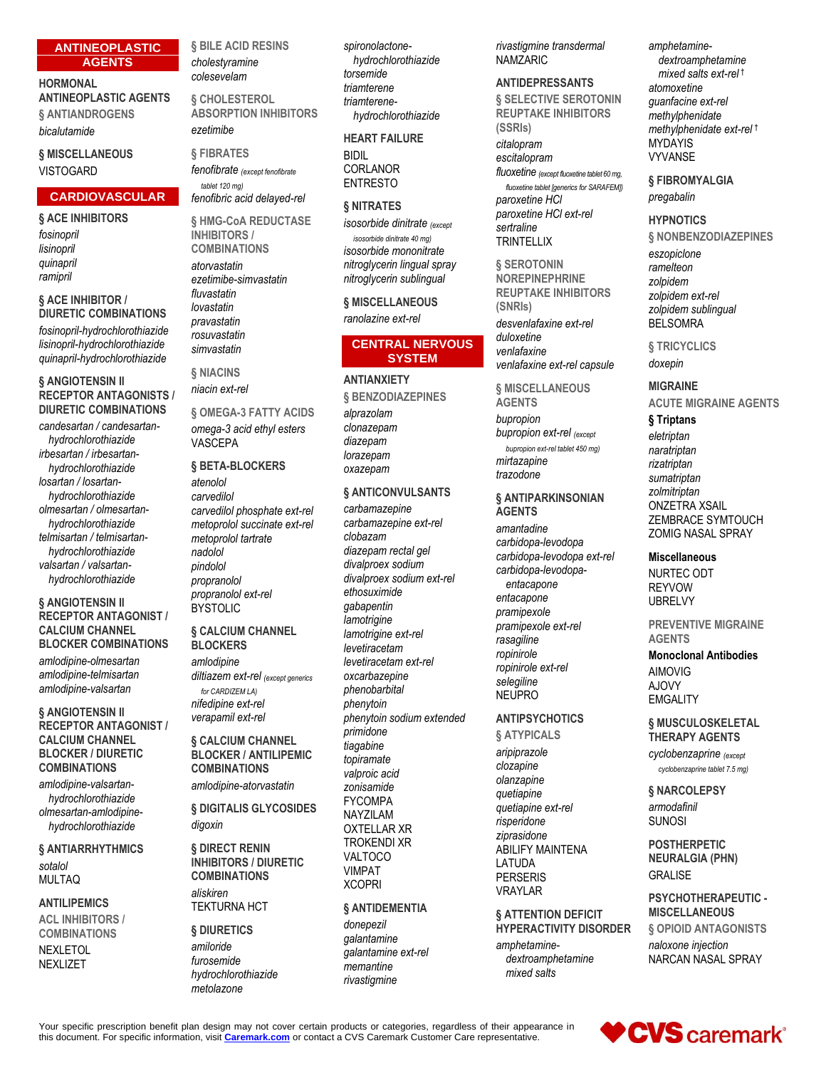#### **ANTINEOPLASTIC AGENTS**

#### **HORMONAL ANTINEOPLASTIC AGENTS § ANTIANDROGENS**

*bicalutamide*

## **§ MISCELLANEOUS** VISTOGARD

## **CARDIOVASCULAR**

## **§ ACE INHIBITORS**

*fosinopril lisinopril quinapril ramipril*

#### **§ ACE INHIBITOR / DIURETIC COMBINATIONS**

*fosinopril-hydrochlorothiazide lisinopril-hydrochlorothiazide quinapril-hydrochlorothiazide*

#### **§ ANGIOTENSIN II RECEPTOR ANTAGONISTS / DIURETIC COMBINATIONS**

*candesartan / candesartanhydrochlorothiazide irbesartan / irbesartanhydrochlorothiazide losartan / losartanhydrochlorothiazide olmesartan / olmesartanhydrochlorothiazide telmisartan / telmisartanhydrochlorothiazide valsartan / valsartanhydrochlorothiazide*

#### **§ ANGIOTENSIN II RECEPTOR ANTAGONIST / CALCIUM CHANNEL BLOCKER COMBINATIONS**

*amlodipine-olmesartan amlodipine-telmisartan amlodipine-valsartan*

#### **§ ANGIOTENSIN II RECEPTOR ANTAGONIST / CALCIUM CHANNEL BLOCKER / DIURETIC COMBINATIONS**

*amlodipine-valsartanhydrochlorothiazide olmesartan-amlodipinehydrochlorothiazide*

#### **§ ANTIARRHYTHMICS** *sotalol* MULTAQ

#### **ANTILIPEMICS**

**ACL INHIBITORS / COMBINATIONS**

NEXLETOL NEXLIZET

**§ BILE ACID RESINS** *cholestyramine colesevelam*

**§ CHOLESTEROL ABSORPTION INHIBITORS** *ezetimibe*

**§ FIBRATES** *fenofibrate (except fenofibrate tablet 120 mg)*

*fenofibric acid delayed-rel*

**§ HMG-CoA REDUCTASE INHIBITORS / COMBINATIONS**

*atorvastatin ezetimibe-simvastatin fluvastatin lovastatin pravastatin rosuvastatin simvastatin*

**§ NIACINS** *niacin ext-rel*

**§ OMEGA-3 FATTY ACIDS** *omega-3 acid ethyl esters* VASCEPA

#### **§ BETA-BLOCKERS**

*atenolol carvedilol carvedilol phosphate ext-rel metoprolol succinate ext-rel metoprolol tartrate nadolol pindolol propranolol propranolol ext-rel* BYSTOLIC

#### **§ CALCIUM CHANNEL BLOCKERS**

*amlodipine diltiazem ext-rel (except generics for CARDIZEM LA) nifedipine ext-rel verapamil ext-rel*

#### **§ CALCIUM CHANNEL BLOCKER / ANTILIPEMIC COMBINATIONS**

*amlodipine-atorvastatin*

**§ DIGITALIS GLYCOSIDES** *digoxin*

#### **§ DIRECT RENIN INHIBITORS / DIURETIC COMBINATIONS** *aliskiren* TEKTURNA HCT

**§ DIURETICS** *amiloride furosemide hydrochlorothiazide metolazone*

*spironolactonehydrochlorothiazide torsemide triamterene triamterenehydrochlorothiazide*

**HEART FAILURE**

BIDIL CORLANOR ENTRESTO

## **§ NITRATES**

*isosorbide dinitrate (except isosorbide dinitrate 40 mg) isosorbide mononitrate nitroglycerin lingual spray nitroglycerin sublingual*

**§ MISCELLANEOUS** *ranolazine ext-rel*

#### **CENTRAL NERVOUS SYSTEM**

#### **ANTIANXIETY**

**§ BENZODIAZEPINES** *alprazolam clonazepam diazepam lorazepam oxazepam*

## **§ ANTICONVULSANTS**

*carbamazepine carbamazepine ext-rel clobazam diazepam rectal gel divalproex sodium divalproex sodium ext-rel ethosuximide gabapentin lamotrigine lamotrigine ext-rel levetiracetam levetiracetam ext-rel oxcarbazepine phenobarbital phenytoin phenytoin sodium extended primidone tiagabine topiramate valproic acid zonisamide* FYCOMPA NAYZILAM OXTELLAR XR TROKENDI XR VALTOCO VIMPAT XCOPRI

#### **§ ANTIDEMENTIA**

*donepezil galantamine galantamine ext-rel memantine rivastigmine*

*rivastigmine transdermal* NAMZARIC

## **ANTIDEPRESSANTS**

**§ SELECTIVE SEROTONIN REUPTAKE INHIBITORS (SSRIs)** *citalopram escitalopram fluoxetine (except fluoxetine tablet 60 mg, fluoxetine tablet [generics for SARAFEM]) paroxetine HCl paroxetine HCl ext-rel sertraline* **TRINTELLIX** 

**§ SEROTONIN NOREPINEPHRINE REUPTAKE INHIBITORS (SNRIs)** *desvenlafaxine ext-rel duloxetine venlafaxine venlafaxine ext-rel capsule*

**§ MISCELLANEOUS AGENTS**

*bupropion bupropion ext-rel (except bupropion ext-rel tablet 450 mg) mirtazapine trazodone*

#### **§ ANTIPARKINSONIAN AGENTS**

*amantadine carbidopa-levodopa carbidopa-levodopa ext-rel carbidopa-levodopaentacapone entacapone pramipexole pramipexole ext-rel rasagiline ropinirole ropinirole ext-rel selegiline* NEUPRO

## **ANTIPSYCHOTICS**

**§ ATYPICALS** *aripiprazole clozapine olanzapine quetiapine quetiapine ext-rel risperidone ziprasidone* ABILIFY MAINTENA LATUDA PERSERIS VRAYLAR

#### **§ ATTENTION DEFICIT HYPERACTIVITY DISORDER**

*amphetaminedextroamphetamine mixed salts*

*amphetaminedextroamphetamine mixed salts ext-rel* † *atomoxetine guanfacine ext-rel methylphenidate methylphenidate ext-rel* † MYDAYIS VYVANSE

#### **§ FIBROMYALGIA** *pregabalin*

#### **HYPNOTICS**

**§ NONBENZODIAZEPINES** *eszopiclone ramelteon zolpidem zolpidem ext-rel zolpidem sublingual* BELSOMRA

#### **§ TRICYCLICS** *doxepin*

## **MIGRAINE**

**ACUTE MIGRAINE AGENTS**

## **§ Triptans**

*eletriptan naratriptan rizatriptan sumatriptan zolmitriptan* ONZETRA XSAIL ZEMBRACE SYMTOUCH ZOMIG NASAL SPRAY

#### **Miscellaneous**

NURTEC ODT REYVOW UBRELVY

**PREVENTIVE MIGRAINE AGENTS**

#### **Monoclonal Antibodies** AIMOVIG AJOVY

**EMGALITY** 

#### **§ MUSCULOSKELETAL THERAPY AGENTS**

*cyclobenzaprine (except cyclobenzaprine tablet 7.5 mg)*

#### **§ NARCOLEPSY** *armodafinil*

SUNOSI

**POSTHERPETIC NEURALGIA (PHN)** GRALISE

### **PSYCHOTHERAPEUTIC - MISCELLANEOUS § OPIOID ANTAGONISTS**

*naloxone injection* NARCAN NASAL SPRAY



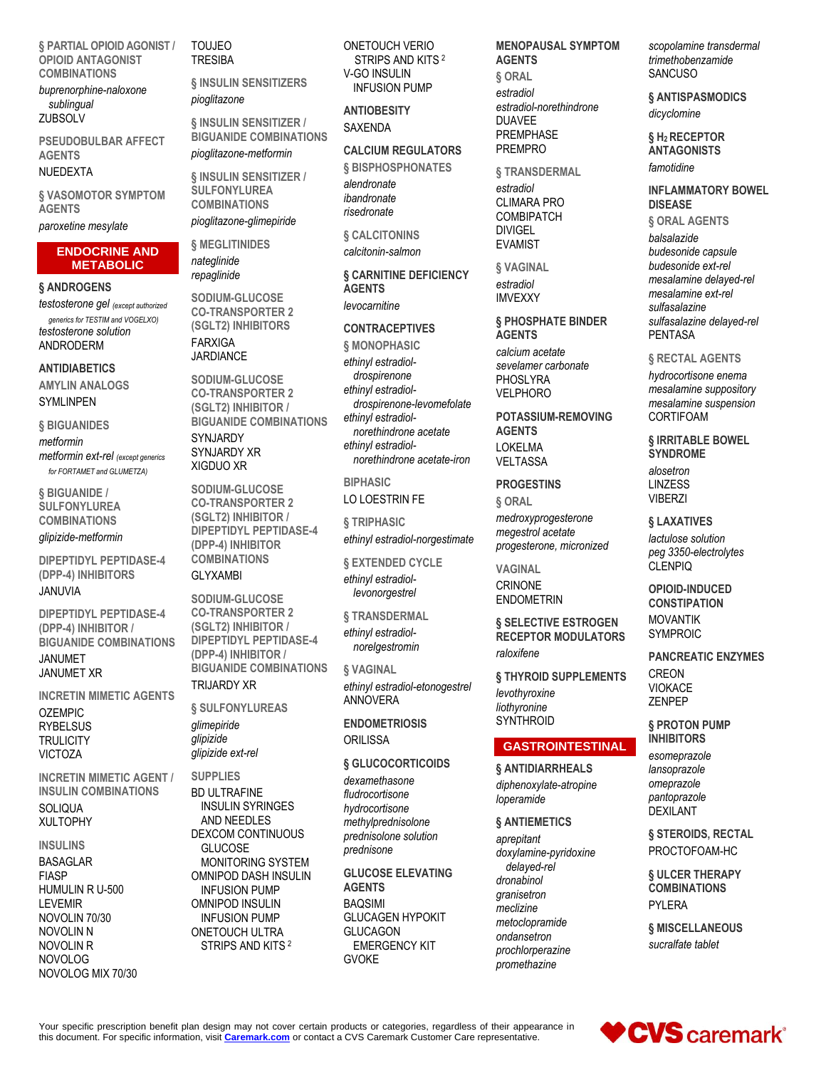**§ PARTIAL OPIOID AGONIST / OPIOID ANTAGONIST COMBINATIONS**

*buprenorphine-naloxone sublingual* **ZUBSOLV** 

**PSEUDOBULBAR AFFECT AGENTS**

#### NUEDEXTA

**§ VASOMOTOR SYMPTOM AGENTS**

*paroxetine mesylate*

#### **ENDOCRINE AND METABOLIC**

#### **§ ANDROGENS**

*testosterone gel (except authorized generics for TESTIM and VOGELXO) testosterone solution* ANDRODERM

#### **ANTIDIABETICS**

**AMYLIN ANALOGS** SYMLINPEN

#### **§ BIGUANIDES**

*metformin metformin ext-rel (except generics for FORTAMET and GLUMETZA)*

**§ BIGUANIDE / SULFONYLUREA COMBINATIONS**

#### *glipizide-metformin*

**DIPEPTIDYL PEPTIDASE-4 (DPP-4) INHIBITORS** JANUVIA

#### **DIPEPTIDYL PEPTIDASE-4 (DPP-4) INHIBITOR / BIGUANIDE COMBINATIONS** JANUMET

JANUMET XR

**INCRETIN MIMETIC AGENTS**

OZEMPIC **RYBELSUS TRULICITY** VICTOZA

**INCRETIN MIMETIC AGENT / INSULIN COMBINATIONS SOLIQUA** XULTOPHY

#### **INSULINS**

BASAGLAR FIASP HUMULIN R U-500 LEVEMIR NOVOLIN 70/30 NOVOLIN N NOVOLIN R NOVOLOG NOVOLOG MIX 70/30 TOUJEO **TRESIBA** 

**§ INSULIN SENSITIZERS** *pioglitazone*

**§ INSULIN SENSITIZER / BIGUANIDE COMBINATIONS** *pioglitazone-metformin*

**§ INSULIN SENSITIZER / SULFONYLUREA COMBINATIONS**

*pioglitazone-glimepiride* **§ MEGLITINIDES** *nateglinide*

*repaglinide*

**SODIUM-GLUCOSE CO-TRANSPORTER 2 (SGLT2) INHIBITORS** FARXIGA **JARDIANCE** 

**SODIUM-GLUCOSE CO-TRANSPORTER 2 (SGLT2) INHIBITOR / BIGUANIDE COMBINATIONS** SYNJARDY SYNJARDY XR XIGDUO XR

**SODIUM-GLUCOSE CO-TRANSPORTER 2 (SGLT2) INHIBITOR / DIPEPTIDYL PEPTIDASE-4 (DPP-4) INHIBITOR COMBINATIONS**

#### GLYXAMBI

**SODIUM-GLUCOSE CO-TRANSPORTER 2 (SGLT2) INHIBITOR / DIPEPTIDYL PEPTIDASE-4 (DPP-4) INHIBITOR / BIGUANIDE COMBINATIONS**

## TRIJARDY XR

**§ SULFONYLUREAS** *glimepiride glipizide glipizide ext-rel*

**SUPPLIES** BD ULTRAFINE INSULIN SYRINGES AND NEEDLES DEXCOM CONTINUOUS GLUCOSE MONITORING SYSTEM OMNIPOD DASH INSULIN INFUSION PUMP OMNIPOD INSULIN INFUSION PUMP ONETOUCH ULTRA STRIPS AND KITS <sup>2</sup>

ONETOUCH VERIO STRIPS AND KITS <sup>2</sup> V-GO INSULIN INFUSION PUMP

**ANTIOBESITY** SAXENDA

## **CALCIUM REGULATORS**

**§ BISPHOSPHONATES** *alendronate ibandronate risedronate*

**§ CALCITONINS** *calcitonin-salmon*

**§ CARNITINE DEFICIENCY AGENTS** *levocarnitine*

#### **CONTRACEPTIVES**

**§ MONOPHASIC** *ethinyl estradioldrospirenone ethinyl estradioldrospirenone-levomefolate ethinyl estradiolnorethindrone acetate ethinyl estradiolnorethindrone acetate-iron*

**BIPHASIC** LO LOESTRIN FE

**§ TRIPHASIC** *ethinyl estradiol-norgestimate*

**§ EXTENDED CYCLE** *ethinyl estradiollevonorgestrel*

**§ TRANSDERMAL** *ethinyl estradiolnorelgestromin*

**§ VAGINAL** *ethinyl estradiol-etonogestrel* ANNOVERA

**ENDOMETRIOSIS ORILISSA** 

#### **§ GLUCOCORTICOIDS**

*dexamethasone fludrocortisone hydrocortisone methylprednisolone prednisolone solution prednisone*

**GLUCOSE ELEVATING AGENTS** BAQSIMI GLUCAGEN HYPOKIT **GLUCAGON** EMERGENCY KIT GVOKE

**MENOPAUSAL SYMPTOM AGENTS § ORAL**

*estradiol estradiol-norethindrone* DUAVEE PREMPHASE PREMPRO

**§ TRANSDERMAL** *estradiol*

CLIMARA PRO **COMBIPATCH** DIVIGEL EVAMIST

**§ VAGINAL** *estradiol* IMVEXXY

**§ PHOSPHATE BINDER AGENTS** *calcium acetate sevelamer carbonate* PHOSLYRA VELPHORO

**POTASSIUM-REMOVING AGENTS** LOKELMA VELTASSA

## **PROGESTINS**

**§ ORAL** *medroxyprogesterone megestrol acetate progesterone, micronized*

**VAGINAL CRINONE** ENDOMETRIN

**§ SELECTIVE ESTROGEN RECEPTOR MODULATORS** *raloxifene*

**§ THYROID SUPPLEMENTS** *levothyroxine liothyronine* **SYNTHROID** 

## **GASTROINTESTINAL**

**§ ANTIDIARRHEALS** *diphenoxylate-atropine loperamide*

#### **§ ANTIEMETICS**

*aprepitant doxylamine-pyridoxine delayed-rel dronabinol granisetron meclizine metoclopramide ondansetron prochlorperazine promethazine*

*scopolamine transdermal trimethobenzamide* **SANCUSO** 

**§ ANTISPASMODICS** *dicyclomine*

**§ H2 RECEPTOR ANTAGONISTS** *famotidine*

**INFLAMMATORY BOWEL DISEASE**

**§ ORAL AGENTS** *balsalazide budesonide capsule budesonide ext-rel mesalamine delayed-rel mesalamine ext-rel sulfasalazine sulfasalazine delayed-rel* PENTASA

**§ RECTAL AGENTS**

*hydrocortisone enema mesalamine suppository mesalamine suspension* CORTIFOAM

**§ IRRITABLE BOWEL SYNDROME** *alosetron* LINZESS

**VIBERZI** 

**§ LAXATIVES**

*lactulose solution peg 3350-electrolytes* CLENPIQ

**OPIOID-INDUCED CONSTIPATION** MOVANTIK SYMPROIC

**PANCREATIC ENZYMES** CREON VIOKACE ZENPEP

**§ PROTON PUMP INHIBITORS** *esomeprazole lansoprazole omeprazole pantoprazole* DEXILANT

**§ STEROIDS, RECTAL** PROCTOFOAM-HC

**§ ULCER THERAPY COMBINATIONS** PYLERA

**§ MISCELLANEOUS** *sucralfate tablet*

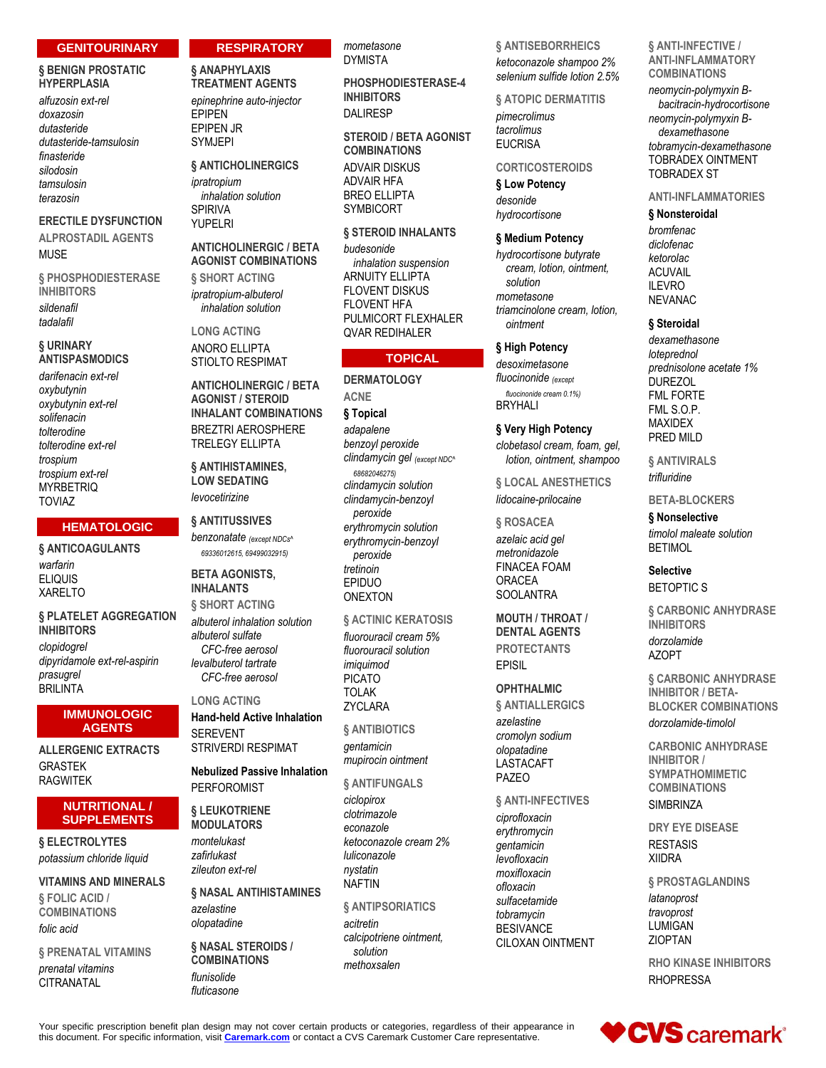#### **GENITOURINARY**

#### **§ BENIGN PROSTATIC HYPERPLASIA**

*alfuzosin ext-rel doxazosin dutasteride dutasteride-tamsulosin finasteride silodosin tamsulosin terazosin*

**ERECTILE DYSFUNCTION ALPROSTADIL AGENTS** MUSE

**§ PHOSPHODIESTERASE INHIBITORS** *sildenafil tadalafil*

## **§ URINARY ANTISPASMODICS**

*darifenacin ext-rel oxybutynin oxybutynin ext-rel solifenacin tolterodine tolterodine ext-rel trospium trospium ext-rel* **MYRBETRIQ** TOVIAZ

#### **HEMATOLOGIC**

**§ ANTICOAGULANTS** *warfarin* ELIQUIS XARELTO

**§ PLATELET AGGREGATION INHIBITORS** *clopidogrel dipyridamole ext-rel-aspirin prasugrel* **BRILINTA** 

#### **IMMUNOLOGIC AGENTS**

**ALLERGENIC EXTRACTS** GRASTEK RAGWITEK

#### **NUTRITIONAL / SUPPLEMENTS**

**§ ELECTROLYTES** *potassium chloride liquid*

**VITAMINS AND MINERALS § FOLIC ACID / COMBINATIONS** *folic acid*

**§ PRENATAL VITAMINS** *prenatal vitamins* **CITRANATAL** 

#### **§ ANAPHYLAXIS TREATMENT AGENTS** *epinephrine auto-injector* EPIPEN

**RESPIRATORY**

EPIPEN JR SYMJEPI

## **§ ANTICHOLINERGICS**

*ipratropium inhalation solution* SPIRIVA YUPELRI

## **ANTICHOLINERGIC / BETA AGONIST COMBINATIONS § SHORT ACTING**

*ipratropium-albuterol inhalation solution*

**LONG ACTING** ANORO ELLIPTA STIOLTO RESPIMAT

**ANTICHOLINERGIC / BETA AGONIST / STEROID INHALANT COMBINATIONS** BREZTRI AEROSPHERE TRELEGY ELLIPTA

**§ ANTIHISTAMINES, LOW SEDATING** *levocetirizine*

**§ ANTITUSSIVES** *benzonatate (except NDCs^ 69336012615, 69499032915)*

#### **BETA AGONISTS, INHALANTS § SHORT ACTING** *albuterol inhalation solution albuterol sulfate CFC-free aerosol levalbuterol tartrate*

**LONG ACTING**

*CFC-free aerosol*

**Hand-held Active Inhalation SEREVENT** STRIVERDI RESPIMAT

**Nebulized Passive Inhalation** PERFOROMIST

**§ LEUKOTRIENE MODULATORS**

- *montelukast zafirlukast zileuton ext-rel*
- **§ NASAL ANTIHISTAMINES** *azelastine olopatadine*

**§ NASAL STEROIDS / COMBINATIONS** *flunisolide fluticasone*

*mometasone* DYMISTA

**PHOSPHODIESTERASE-4 INHIBITORS** DALIRESP

**STEROID / BETA AGONIST COMBINATIONS** ADVAIR DISKUS ADVAIR HFA

BREO ELLIPTA SYMBICORT **§ STEROID INHALANTS**

*budesonide inhalation suspension* ARNUITY ELLIPTA FLOVENT DISKUS FLOVENT HFA PULMICORT FLEXHALER QVAR REDIHALER

## **TOPICAL**

**DERMATOLOGY ACNE § Topical** *adapalene benzoyl peroxide clindamycin gel (except NDC^ 68682046275) clindamycin solution clindamycin-benzoyl peroxide erythromycin solution erythromycin-benzoyl peroxide tretinoin* EPIDUO ONEXTON

**§ ACTINIC KERATOSIS**

*fluorouracil cream 5% fluorouracil solution imiquimod* PICATO TOLAK ZYCLARA

**§ ANTIBIOTICS** *gentamicin mupirocin ointment*

**§ ANTIFUNGALS**

*ciclopirox clotrimazole econazole ketoconazole cream 2% luliconazole nystatin* NAFTIN

**§ ANTIPSORIATICS** *acitretin calcipotriene ointment, solution methoxsalen*

**§ ANTISEBORRHEICS** *ketoconazole shampoo 2% selenium sulfide lotion 2.5%*

**§ ATOPIC DERMATITIS** *pimecrolimus tacrolimus* **EUCRISA** 

#### **CORTICOSTEROIDS**

**§ Low Potency** *desonide hydrocortisone*

#### **§ Medium Potency**

*hydrocortisone butyrate cream, lotion, ointment, solution mometasone triamcinolone cream, lotion, ointment*

**§ High Potency**

*desoximetasone fluocinonide (except fluocinonide cream 0.1%)* BRYHALI

**§ Very High Potency** *clobetasol cream, foam, gel, lotion, ointment, shampoo*

**§ LOCAL ANESTHETICS** *lidocaine-prilocaine*

**§ ROSACEA** *azelaic acid gel metronidazole* FINACEA FOAM ORACEA **SOOLANTRA** 

**MOUTH / THROAT / DENTAL AGENTS PROTECTANTS** EPISIL

## **OPHTHALMIC**

**§ ANTIALLERGICS** *azelastine cromolyn sodium olopatadine* LASTACAFT PAZEO

**§ ANTI-INFECTIVES**

*ciprofloxacin erythromycin gentamicin levofloxacin moxifloxacin ofloxacin sulfacetamide tobramycin* BESIVANCE CILOXAN OINTMENT **§ ANTI-INFECTIVE / ANTI-INFLAMMATORY COMBINATIONS**

*neomycin-polymyxin Bbacitracin-hydrocortisone neomycin-polymyxin Bdexamethasone tobramycin-dexamethasone* TOBRADEX OINTMENT TOBRADEX ST

**ANTI-INFLAMMATORIES**

**§ Nonsteroidal** *bromfenac diclofenac ketorolac* **ACLIVAIL** ILEVRO NEVANAC

## **§ Steroidal**

*dexamethasone loteprednol prednisolone acetate 1%* DUREZOL FML FORTE FML S.O.P. MAXIDEX PRED MILD

**§ ANTIVIRALS** *trifluridine*

**BETA-BLOCKERS**

**§ Nonselective** *timolol maleate solution* **BETIMOL** 

**Selective** BETOPTIC S

**§ CARBONIC ANHYDRASE INHIBITORS** *dorzolamide* AZOPT

**§ CARBONIC ANHYDRASE INHIBITOR / BETA-BLOCKER COMBINATIONS** *dorzolamide-timolol*

**CARBONIC ANHYDRASE INHIBITOR / SYMPATHOMIMETIC COMBINATIONS SIMBRINZA** 

**DRY EYE DISEASE** RESTASIS XIIDRA

**§ PROSTAGLANDINS** *latanoprost travoprost* LUMIGAN ZIOPTAN

**RHO KINASE INHIBITORS RHOPRESSA** 

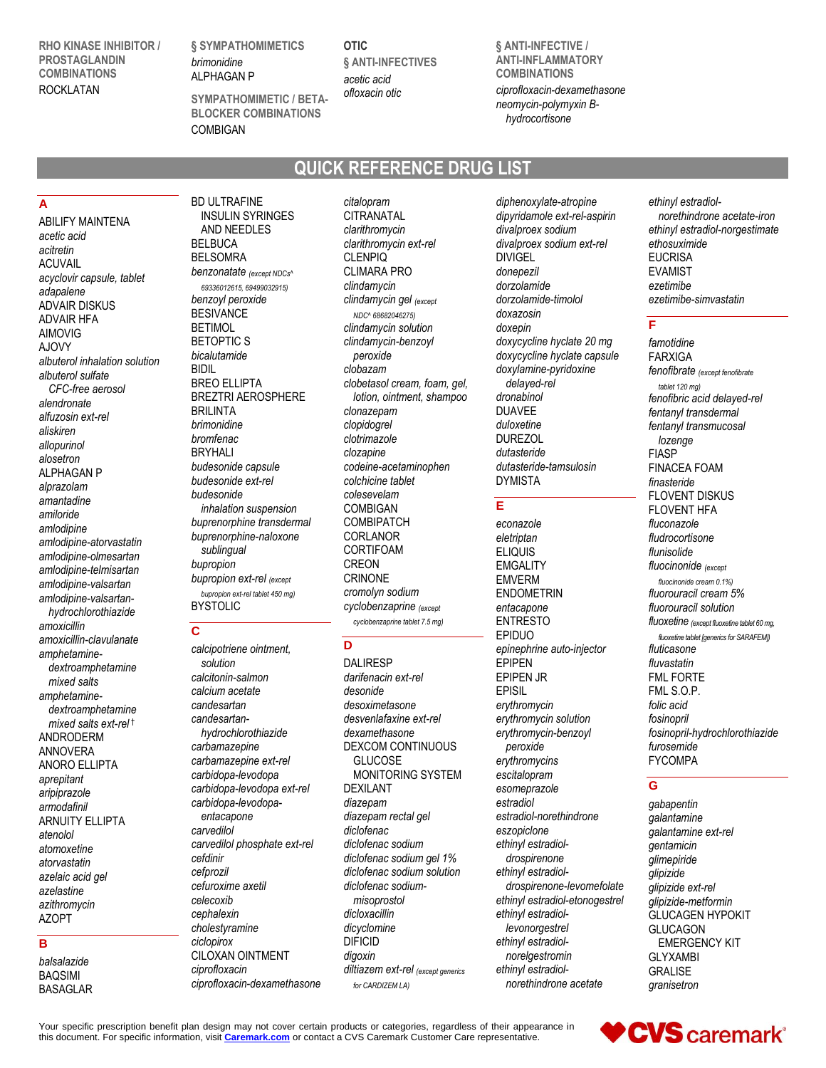**RHO KINASE INHIBITOR / PROSTAGLANDIN COMBINATIONS** ROCKLATAN

**§ SYMPATHOMIMETICS** *brimonidine* ALPHAGAN P

BD ULTRAFINE

**SYMPATHOMIMETIC / BETA-**

**OTIC § ANTI-INFECTIVES** *acetic acid ofloxacin otic*

**QUICK REFERENCE DRUG LIST**

**§ ANTI-INFECTIVE / ANTI-INFLAMMATORY COMBINATIONS** *ciprofloxacin-dexamethasone neomycin-polymyxin Bhydrocortisone*

# **BLOCKER COMBINATIONS COMBIGAN**

## **A**

ABILIFY MAINTENA *acetic acid acitretin* ACUVAIL *acyclovir capsule, tablet adapalene* ADVAIR DISKUS ADVAIR HFA AIMOVIG AJOVY *albuterol inhalation solution albuterol sulfate CFC-free aerosol alendronate alfuzosin ext-rel aliskiren allopurinol alosetron* ALPHAGAN P *alprazolam amantadine amiloride amlodipine amlodipine-atorvastatin amlodipine-olmesartan amlodipine-telmisartan amlodipine-valsartan amlodipine-valsartanhydrochlorothiazide amoxicillin amoxicillin-clavulanate amphetaminedextroamphetamine mixed salts amphetaminedextroamphetamine mixed salts ext-rel* † ANDRODERM ANNOVERA ANORO ELLIPTA *aprepitant aripiprazole armodafinil* ARNUITY ELLIPTA *atenolol atomoxetine atorvastatin azelaic acid gel azelastine azithromycin* AZOPT

#### INSULIN SYRINGES AND NEEDLES BELBUCA **BELSOMRA** *benzonatate (except NDCs^ 69336012615, 69499032915) benzoyl peroxide* BESIVANCE **BETIMOL** BETOPTIC S *bicalutamide* BIDIL BREO ELLIPTA BREZTRI AEROSPHERE BRILINTA *brimonidine bromfenac* BRYHALI *budesonide capsule budesonide ext-rel budesonide inhalation suspension buprenorphine transdermal buprenorphine-naloxone sublingual bupropion bupropion ext-rel (except bupropion ext-rel tablet 450 mg)* BYSTOLIC

## **C**

*calcipotriene ointment, solution calcitonin-salmon calcium acetate candesartan candesartanhydrochlorothiazide carbamazepine carbamazepine ext-rel carbidopa-levodopa carbidopa-levodopa ext-rel carbidopa-levodopaentacapone carvedilol carvedilol phosphate ext-rel cefdinir cefprozil cefuroxime axetil celecoxib cephalexin cholestyramine ciclopirox* CILOXAN OINTMENT *ciprofloxacin ciprofloxacin-dexamethasone*

*citalopram* CITRANATAL *clarithromycin clarithromycin ext-rel* CLENPIQ CLIMARA PRO *clindamycin clindamycin gel (except NDC^ 68682046275) clindamycin solution clindamycin-benzoyl peroxide clobazam clobetasol cream, foam, gel, lotion, ointment, shampoo clonazepam clopidogrel clotrimazole clozapine codeine-acetaminophen colchicine tablet colesevelam* COMBIGAN **COMBIPATCH** CORLANOR CORTIFOAM CREON CRINONE *cromolyn sodium cyclobenzaprine (except cyclobenzaprine tablet 7.5 mg)*

# **D**

DALIRESP *darifenacin ext-rel desonide desoximetasone desvenlafaxine ext-rel dexamethasone* DEXCOM CONTINUOUS **GLUCOSE** MONITORING SYSTEM DEXILANT *diazepam diazepam rectal gel diclofenac diclofenac sodium diclofenac sodium gel 1% diclofenac sodium solution diclofenac sodiummisoprostol dicloxacillin dicyclomine* DIFICID *digoxin diltiazem ext-rel (except generics for CARDIZEM LA)*

*diphenoxylate-atropine dipyridamole ext-rel-aspirin divalproex sodium divalproex sodium ext-rel* DIVIGEL *donepezil dorzolamide dorzolamide-timolol doxazosin doxepin doxycycline hyclate 20 mg doxycycline hyclate capsule doxylamine-pyridoxine delayed-rel dronabinol* DUAVEE *duloxetine* DUREZOL *dutasteride dutasteride-tamsulosin* DYMISTA

## **E**

*econazole eletriptan* ELIQUIS **EMGALITY** EMVERM ENDOMETRIN *entacapone* ENTRESTO EPIDUO *epinephrine auto-injector* EPIPEN EPIPEN JR EPISIL *erythromycin erythromycin solution erythromycin-benzoyl peroxide erythromycins escitalopram esomeprazole estradiol estradiol-norethindrone eszopiclone ethinyl estradioldrospirenone ethinyl estradioldrospirenone-levomefolate ethinyl estradiol-etonogestrel ethinyl estradiollevonorgestrel ethinyl estradiolnorelgestromin ethinyl estradiolnorethindrone acetate*

#### *ethinyl estradiolnorethindrone acetate-iron ethinyl estradiol-norgestimate ethosuximide* EUCRISA EVAMIST *ezetimibe ezetimibe-simvastatin*

#### **F**

*famotidine* FARXIGA *fenofibrate (except fenofibrate tablet 120 mg) fenofibric acid delayed-rel fentanyl transdermal fentanyl transmucosal lozenge* FIASP FINACEA FOAM *finasteride* FLOVENT DISKUS FLOVENT HFA *fluconazole fludrocortisone flunisolide fluocinonide (except fluocinonide cream 0.1%) fluorouracil cream 5% fluorouracil solution fluoxetine (except fluoxetine tablet 60 mg, fluoxetine tablet [generics for SARAFEM]) fluticasone fluvastatin* FML FORTE FML S.O.P. *folic acid fosinopril fosinopril-hydrochlorothiazide furosemide* FYCOMPA

## **G**

*gabapentin galantamine galantamine ext-rel gentamicin glimepiride glipizide glipizide ext-rel glipizide-metformin* GLUCAGEN HYPOKIT GLUCAGON EMERGENCY KIT GLYXAMBI GRALISE *granisetron*

Your specific prescription benefit plan design may not cover certain products or categories, regardless of their appearance in this document. For specific information, visit **[Caremark.com](https://www.caremark.com/)** or contact a CVS Caremark Customer Care representative.



# **B**

*balsalazide* BAQSIMI BASAGLAR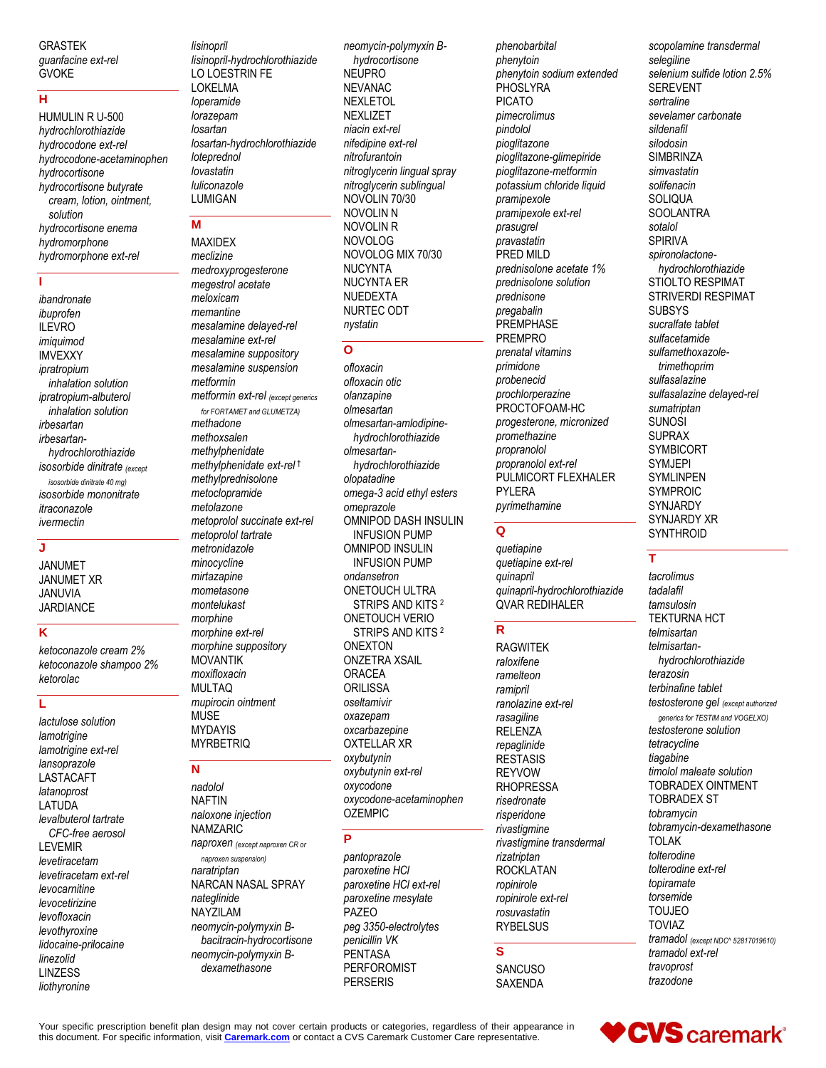GRASTEK *guanfacine ext-rel* GVOKE

## **H**

HUMULIN R U-500 *hydrochlorothiazide hydrocodone ext-rel hydrocodone-acetaminophen hydrocortisone hydrocortisone butyrate cream, lotion, ointment, solution hydrocortisone enema hydromorphone hydromorphone ext-rel*

#### **I**

*ibandronate ibuprofen* ILEVRO *imiquimod* IMVEXXY *ipratropium inhalation solution ipratropium-albuterol inhalation solution irbesartan irbesartanhydrochlorothiazide isosorbide dinitrate (except isosorbide dinitrate 40 mg) isosorbide mononitrate itraconazole ivermectin*

## **J**

JANUMET JANUMET XR JANUVIA JARDIANCE

## **K**

*ketoconazole cream 2% ketoconazole shampoo 2% ketorolac*

#### **L**

*lactulose solution lamotrigine lamotrigine ext-rel lansoprazole* **LASTACAFT** *latanoprost* LATUDA *levalbuterol tartrate CFC-free aerosol* LEVEMIR *levetiracetam levetiracetam ext-rel levocarnitine levocetirizine levofloxacin levothyroxine lidocaine-prilocaine linezolid* LINZESS *liothyronine*

*lisinopril lisinopril-hydrochlorothiazide* LO LOESTRIN FE LOKELMA *loperamide lorazepam losartan losartan-hydrochlorothiazide loteprednol lovastatin luliconazole* LUMIGAN

## **M**

MAXIDEX *meclizine medroxyprogesterone megestrol acetate meloxicam memantine mesalamine delayed-rel mesalamine ext-rel mesalamine suppository mesalamine suspension metformin metformin ext-rel (except generics for FORTAMET and GLUMETZA) methadone methoxsalen methylphenidate methylphenidate ext-rel* † *methylprednisolone metoclopramide metolazone metoprolol succinate ext-rel metoprolol tartrate metronidazole minocycline mirtazapine mometasone montelukast morphine morphine ext-rel morphine suppository* MOVANTIK *moxifloxacin* MULTAQ *mupirocin ointment* MUSE MYDAYIS **MYRBETRIQ** 

#### **N**

*nadolol* NAFTIN *naloxone injection* NAMZARIC *naproxen (except naproxen CR or* 

*naproxen suspension) naratriptan* NARCAN NASAL SPRAY *nateglinide* NAYZILAM *neomycin-polymyxin Bbacitracin-hydrocortisone neomycin-polymyxin Bdexamethasone*

*neomycin-polymyxin Bhydrocortisone* NEUPRO NEVANAC NEXLETOL **NEXLIZET** *niacin ext-rel nifedipine ext-rel nitrofurantoin nitroglycerin lingual spray nitroglycerin sublingual* NOVOLIN 70/30 NOVOLIN N NOVOLIN R NOVOLOG NOVOLOG MIX 70/30 NUCYNTA NUCYNTA ER NUEDEXTA NURTEC ODT *nystatin*

#### **O**

*ofloxacin ofloxacin otic olanzapine olmesartan olmesartan-amlodipinehydrochlorothiazide olmesartanhydrochlorothiazide olopatadine omega-3 acid ethyl esters omeprazole* OMNIPOD DASH INSULIN INFUSION PUMP OMNIPOD INSULIN INFUSION PUMP *ondansetron* ONETOUCH ULTRA STRIPS AND KITS <sup>2</sup> ONETOUCH VERIO STRIPS AND KITS <sup>2</sup> ONEXTON ONZETRA XSAIL ORACEA **ORILISSA** *oseltamivir oxazepam oxcarbazepine* OXTELLAR XR *oxybutynin oxybutynin ext-rel oxycodone oxycodone-acetaminophen* OZEMPIC

## **P**

*pantoprazole paroxetine HCl paroxetine HCl ext-rel paroxetine mesylate* PAZEO *peg 3350-electrolytes penicillin VK* PENTASA PERFOROMIST **PERSERIS** 

*phenobarbital phenytoin phenytoin sodium extended* **PHOSLYRA** PICATO *pimecrolimus pindolol pioglitazone pioglitazone-glimepiride pioglitazone-metformin potassium chloride liquid pramipexole pramipexole ext-rel prasugrel pravastatin* PRED MILD *prednisolone acetate 1% prednisolone solution prednisone pregabalin* **PREMPHASE** PREMPRO *prenatal vitamins primidone probenecid prochlorperazine* PROCTOFOAM-HC *progesterone, micronized promethazine propranolol propranolol ext-rel* PULMICORT FLEXHALER PYLERA *pyrimethamine*

#### **Q**

*quetiapine quetiapine ext-rel quinapril quinapril-hydrochlorothiazide* QVAR REDIHALER

#### **R**

RAGWITEK *raloxifene ramelteon ramipril ranolazine ext-rel rasagiline* RELENZA *repaglinide* **RESTASIS** REYVOW RHOPRESSA *risedronate risperidone rivastigmine rivastigmine transdermal rizatriptan* ROCKLATAN *ropinirole ropinirole ext-rel rosuvastatin* **RYBELSUS** 

#### **S**

**SANCUSO** SAXENDA

*scopolamine transdermal selegiline selenium sulfide lotion 2.5%* SEREVENT *sertraline sevelamer carbonate sildenafil silodosin* **SIMBRINZA** *simvastatin solifenacin* **SOLIQUA** SOOLANTRA *sotalol* SPIRIVA *spironolactonehydrochlorothiazide* STIOLTO RESPIMAT STRIVERDI RESPIMAT SUBSYS *sucralfate tablet sulfacetamide sulfamethoxazoletrimethoprim sulfasalazine sulfasalazine delayed-rel sumatriptan* SUNOSI SUPRAX **SYMBICORT** SYMJEPI SYMLINPEN SYMPROIC **SYNJARDY** SYNJARDY XR **SYNTHROID** 

## **T**

*tacrolimus tadalafil tamsulosin* TEKTURNA HCT *telmisartan telmisartanhydrochlorothiazide terazosin terbinafine tablet testosterone gel (except authorized generics for TESTIM and VOGELXO) testosterone solution tetracycline tiagabine timolol maleate solution* TOBRADEX OINTMENT TOBRADEX ST *tobramycin tobramycin-dexamethasone* TOLAK *tolterodine tolterodine ext-rel topiramate torsemide* TOUJEO TOVIAZ *tramadol (except NDC^ 52817019610) tramadol ext-rel travoprost trazodone*

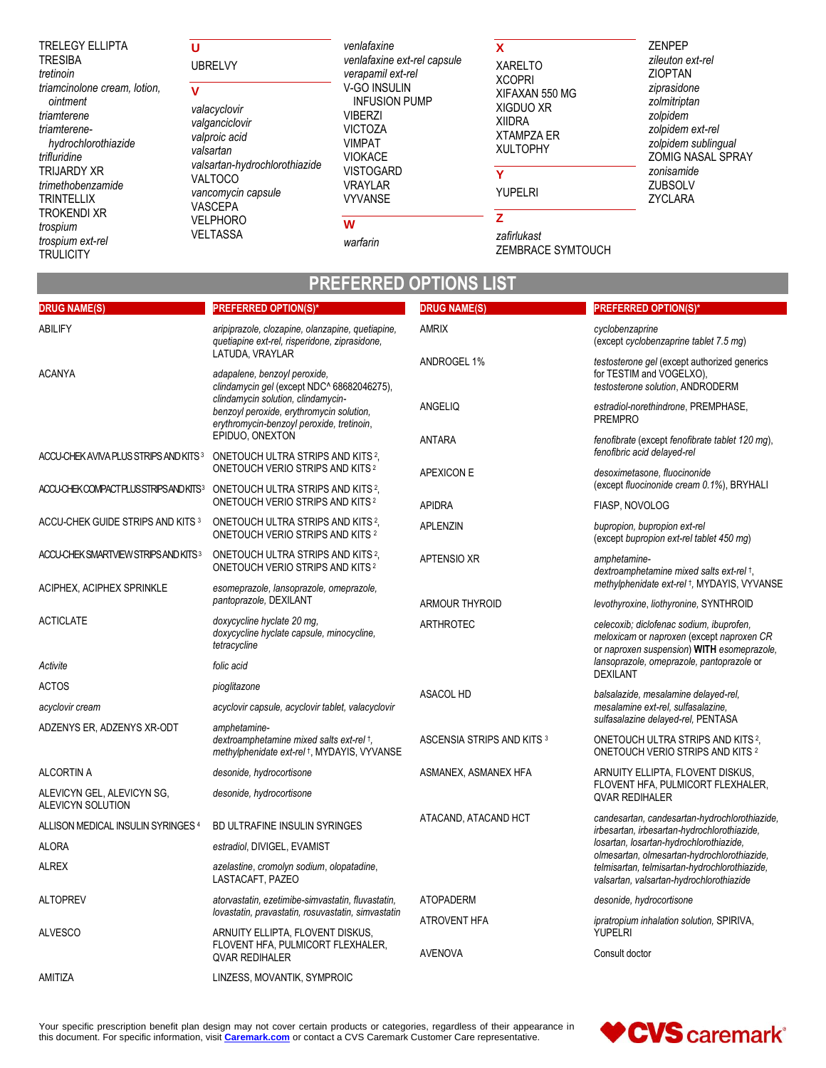| <b>TRELEGY ELLIPTA</b><br><b>TRESIBA</b><br>tretinoin                                                          | υ<br><b>UBRELVY</b>                                                                     | venlafaxine<br>venlafaxine ext-rel capsule<br>verapamil ext-rel                                                    | X<br><b>XARELTO</b><br><b>XCOPRI</b>                                                 | <b>ZENPEP</b><br>zileuton ext-rel<br><b>ZIOPTAN</b><br>ziprasidone<br>zolmitriptan<br>zolpidem<br>zolpidem ext-rel<br>zolpidem sublingual<br><b>ZOMIG NASAL SPRAY</b> |
|----------------------------------------------------------------------------------------------------------------|-----------------------------------------------------------------------------------------|--------------------------------------------------------------------------------------------------------------------|--------------------------------------------------------------------------------------|-----------------------------------------------------------------------------------------------------------------------------------------------------------------------|
| triamcinolone cream, lotion,<br>ointment<br>triamterene<br>triamterene-<br>hydrochlorothiazide<br>trifluridine | v<br>valacyclovir<br>valganciclovir<br>valproic acid<br>valsartan                       | <b>V-GO INSULIN</b><br><b>INFUSION PUMP</b><br><b>VIBERZI</b><br><b>VICTOZA</b><br><b>VIMPAT</b><br><b>VIOKACE</b> | XIFAXAN 550 MG<br>XIGDUO XR<br><b>XIIDRA</b><br><b>XTAMPZA ER</b><br><b>XULTOPHY</b> |                                                                                                                                                                       |
| <b>TRIJARDY XR</b><br>trimethobenzamide<br><b>TRINTELLIX</b>                                                   | valsartan-hydrochlorothiazide<br><b>VALTOCO</b><br>vancomycin capsule<br><b>VASCEPA</b> | <b>VISTOGARD</b><br><b>VRAYLAR</b><br><b>VYVANSE</b>                                                               | v<br><b>YUPELRI</b>                                                                  | zonisamide<br><b>ZUBSOLV</b><br>ZYCLARA                                                                                                                               |
| <b>TROKENDI XR</b><br>trospium<br>trospium ext-rel<br>TRULICITY                                                | <b>VELPHORO</b><br><b>VELTASSA</b>                                                      | W<br>warfarin                                                                                                      | zafirlukast<br>ZEMBRACE SYMTOUCH                                                     |                                                                                                                                                                       |

# **PREFERRED OPTIONS LIST**

| <b>DRUG NAME(S)</b>                              | <b>PREFERRED OPTION(S)*</b>                                                                                                 | <b>DRUG NAME(S)</b>        | <b>PREFERRED OPTION(S)*</b>                                                                                                              |  |
|--------------------------------------------------|-----------------------------------------------------------------------------------------------------------------------------|----------------------------|------------------------------------------------------------------------------------------------------------------------------------------|--|
| ABILIFY                                          | aripiprazole, clozapine, olanzapine, quetiapine,<br>quetiapine ext-rel, risperidone, ziprasidone,<br>LATUDA, VRAYLAR        | <b>AMRIX</b>               | cyclobenzaprine<br>(except cyclobenzaprine tablet 7.5 mg)                                                                                |  |
| <b>ACANYA</b>                                    | adapalene, benzoyl peroxide,<br>clindamycin gel (except NDC^ 68682046275),                                                  | ANDROGEL 1%                | testosterone gel (except authorized generics<br>for TESTIM and VOGELXO),<br>testosterone solution, ANDRODERM                             |  |
|                                                  | clindamycin solution, clindamycin-<br>benzoyl peroxide, erythromycin solution,<br>erythromycin-benzoyl peroxide, tretinoin, | ANGELIQ                    | estradiol-norethindrone, PREMPHASE,<br><b>PREMPRO</b>                                                                                    |  |
|                                                  | EPIDUO, ONEXTON                                                                                                             | ANTARA                     | fenofibrate (except fenofibrate tablet 120 mg),<br>fenofibric acid delayed-rel                                                           |  |
| ACCU-CHEK AVIVA PLUS STRIPS AND KITS 3           | ONETOUCH ULTRA STRIPS AND KITS <sup>2</sup> .<br>ONETOUCH VERIO STRIPS AND KITS <sup>2</sup>                                | APEXICON E                 | desoximetasone, fluocinonide                                                                                                             |  |
| ACCU-CHEKCOMPACTPLUSSTRIPSANDKITS3               | ONETOUCH ULTRA STRIPS AND KITS <sup>2</sup> .<br>ONETOUCH VERIO STRIPS AND KITS <sup>2</sup>                                | <b>APIDRA</b>              | (except fluocinonide cream 0.1%), BRYHALI                                                                                                |  |
| ACCU-CHEK GUIDE STRIPS AND KITS <sup>3</sup>     | ONETOUCH ULTRA STRIPS AND KITS <sup>2</sup> ,                                                                               |                            | FIASP, NOVOLOG                                                                                                                           |  |
|                                                  | ONETOUCH VERIO STRIPS AND KITS <sup>2</sup>                                                                                 | <b>APLENZIN</b>            | bupropion, bupropion ext-rel<br>(except bupropion ext-rel tablet 450 mg)                                                                 |  |
| ACCU-CHEK SMARTVIEW STRIPS AND KITS <sup>3</sup> | ONETOUCH ULTRA STRIPS AND KITS <sup>2</sup> ,<br>ONETOUCH VERIO STRIPS AND KITS <sup>2</sup>                                | <b>APTENSIO XR</b>         | amphetamine-<br>dextroamphetamine mixed salts ext-rel +,                                                                                 |  |
| ACIPHEX, ACIPHEX SPRINKLE                        | esomeprazole, lansoprazole, omeprazole,                                                                                     |                            | methylphenidate ext-rel +, MYDAYIS, VYVANSE                                                                                              |  |
|                                                  | pantoprazole, DEXILANT                                                                                                      | ARMOUR THYROID             | levothyroxine, liothyronine, SYNTHROID                                                                                                   |  |
| <b>ACTICLATE</b>                                 | doxycycline hyclate 20 mg,<br>doxycycline hyclate capsule, minocycline,<br>tetracycline                                     | <b>ARTHROTEC</b>           | celecoxib; diclofenac sodium, ibuprofen,<br>meloxicam or naproxen (except naproxen CR<br>or naproxen suspension) WITH esomeprazole,      |  |
| Activite                                         | folic acid                                                                                                                  |                            | lansoprazole, omeprazole, pantoprazole or<br><b>DEXILANT</b>                                                                             |  |
| <b>ACTOS</b>                                     | pioglitazone                                                                                                                | <b>ASACOL HD</b>           | balsalazide, mesalamine delayed-rel,                                                                                                     |  |
| acyclovir cream                                  | acyclovir capsule, acyclovir tablet, valacyclovir                                                                           |                            | mesalamine ext-rel, sulfasalazine,<br>sulfasalazine delayed-rel, PENTASA                                                                 |  |
| ADZENYS ER, ADZENYS XR-ODT                       | amphetamine-<br>dextroamphetamine mixed salts ext-rel +,<br>methylphenidate ext-rel +, MYDAYIS, VYVANSE                     | ASCENSIA STRIPS AND KITS 3 | ONETOUCH ULTRA STRIPS AND KITS <sup>2</sup> ,<br>ONETOUCH VERIO STRIPS AND KITS 2                                                        |  |
| <b>ALCORTIN A</b>                                | desonide, hydrocortisone                                                                                                    | ASMANEX, ASMANEX HFA       | ARNUITY ELLIPTA, FLOVENT DISKUS,                                                                                                         |  |
| ALEVICYN GEL, ALEVICYN SG,<br>ALEVICYN SOLUTION  | desonide, hydrocortisone                                                                                                    |                            | FLOVENT HFA, PULMICORT FLEXHALER,<br><b>QVAR REDIHALER</b>                                                                               |  |
| ALLISON MEDICAL INSULIN SYRINGES <sup>4</sup>    | BD ULTRAFINE INSULIN SYRINGES                                                                                               | ATACAND, ATACAND HCT       | candesartan, candesartan-hydrochlorothiazide,<br>irbesartan, irbesartan-hydrochlorothiazide,                                             |  |
| ALORA                                            | estradiol, DIVIGEL, EVAMIST                                                                                                 |                            | losartan, losartan-hydrochlorothiazide,                                                                                                  |  |
| <b>ALREX</b>                                     | azelastine, cromolyn sodium, olopatadine,<br>LASTACAFT, PAZEO                                                               |                            | olmesartan, olmesartan-hydrochlorothiazide,<br>telmisartan, telmisartan-hydrochlorothiazide,<br>valsartan, valsartan-hydrochlorothiazide |  |
| <b>ALTOPREV</b>                                  | atorvastatin, ezetimibe-simvastatin, fluvastatin,                                                                           | <b>ATOPADERM</b>           | desonide, hydrocortisone                                                                                                                 |  |
|                                                  | lovastatin, pravastatin, rosuvastatin, simvastatin                                                                          | ATROVENT HFA               | ipratropium inhalation solution, SPIRIVA,                                                                                                |  |
| <b>ALVESCO</b>                                   | ARNUITY ELLIPTA, FLOVENT DISKUS,<br>FLOVENT HFA, PULMICORT FLEXHALER,<br><b>QVAR REDIHALER</b>                              | <b>AVENOVA</b>             | <b>YUPELRI</b><br>Consult doctor                                                                                                         |  |
| AMITIZA                                          | LINZESS, MOVANTIK, SYMPROIC                                                                                                 |                            |                                                                                                                                          |  |

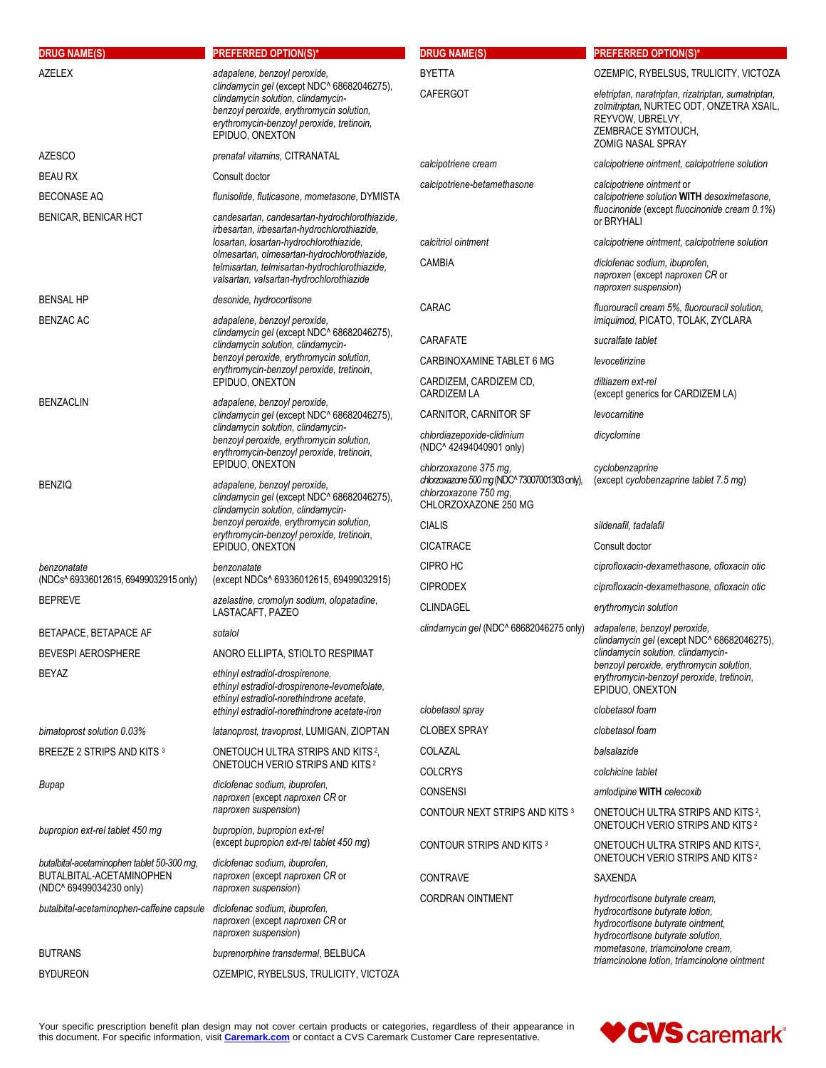| <b>DRUG NAME(S)</b>                                                  | <b>PREFERRED OPTION(S)*</b>                                                                                                                                                                                                                     | <b>DRUG NAME(S)</b>                                                                                                     | <b>PREFERRED OPTION(S)*</b>                                                                                                                                          |
|----------------------------------------------------------------------|-------------------------------------------------------------------------------------------------------------------------------------------------------------------------------------------------------------------------------------------------|-------------------------------------------------------------------------------------------------------------------------|----------------------------------------------------------------------------------------------------------------------------------------------------------------------|
| <b>AZELEX</b>                                                        | adapalene, benzoyl peroxide,                                                                                                                                                                                                                    | <b>BYETTA</b>                                                                                                           | OZEMPIC, RYBELSUS, TRULICITY, VICTOZA                                                                                                                                |
|                                                                      | clindamycin gel (except NDC^ 68682046275),<br>clindamycin solution, clindamycin-<br>benzoyl peroxide, erythromycin solution,<br>erythromycin-benzoyl peroxide, tretinoin,<br>EPIDUO, ONEXTON                                                    | <b>CAFERGOT</b>                                                                                                         | eletriptan, naratriptan, rizatriptan, sumatriptan,<br>zolmitriptan, NURTEC ODT, ONZETRA XSAIL,<br>REYVOW, UBRELVY,<br>ZEMBRACE SYMTOUCH,<br><b>ZOMIG NASAL SPRAY</b> |
| <b>AZESCO</b>                                                        | prenatal vitamins, CITRANATAL                                                                                                                                                                                                                   | calcipotriene cream                                                                                                     | calcipotriene ointment, calcipotriene solution                                                                                                                       |
| <b>BEAU RX</b>                                                       | Consult doctor                                                                                                                                                                                                                                  | calcipotriene-betamethasone                                                                                             | calcipotriene ointment or                                                                                                                                            |
| <b>BECONASE AQ</b>                                                   | flunisolide, fluticasone, mometasone, DYMISTA                                                                                                                                                                                                   |                                                                                                                         | calcipotriene solution WITH desoximetasone.                                                                                                                          |
| BENICAR, BENICAR HCT                                                 | candesartan, candesartan-hydrochlorothiazide,<br>irbesartan, irbesartan-hydrochlorothiazide,                                                                                                                                                    |                                                                                                                         | fluocinonide (except fluocinonide cream 0.1%)<br>or BRYHALI                                                                                                          |
|                                                                      | losartan, losartan-hydrochlorothiazide,<br>olmesartan, olmesartan-hydrochlorothiazide,                                                                                                                                                          | calcitriol ointment                                                                                                     | calcipotriene ointment, calcipotriene solution                                                                                                                       |
|                                                                      | telmisartan, telmisartan-hydrochlorothiazide,<br>valsartan, valsartan-hydrochlorothiazide                                                                                                                                                       | <b>CAMBIA</b>                                                                                                           | diclofenac sodium, ibuprofen,<br>naproxen (except naproxen CR or<br>naproxen suspension)                                                                             |
| <b>BENSAL HP</b>                                                     | desonide, hydrocortisone                                                                                                                                                                                                                        | CARAC                                                                                                                   | fluorouracil cream 5%, fluorouracil solution,                                                                                                                        |
| <b>BENZAC AC</b>                                                     | adapalene, benzoyl peroxide,<br>clindamycin gel (except NDC^ 68682046275),                                                                                                                                                                      |                                                                                                                         | imiquimod, PICATO, TOLAK, ZYCLARA                                                                                                                                    |
|                                                                      | clindamycin solution, clindamycin-                                                                                                                                                                                                              | CARAFATE                                                                                                                | sucralfate tablet                                                                                                                                                    |
|                                                                      | benzoyl peroxide, erythromycin solution,<br>erythromycin-benzoyl peroxide, tretinoin,                                                                                                                                                           | CARBINOXAMINE TABLET 6 MG                                                                                               | levocetirizine                                                                                                                                                       |
| <b>BENZACLIN</b>                                                     | EPIDUO, ONEXTON<br>adapalene, benzoyl peroxide,                                                                                                                                                                                                 | CARDIZEM, CARDIZEM CD,<br>CARDIZEM LA                                                                                   | diltiazem ext-rel<br>(except generics for CARDIZEM LA)                                                                                                               |
|                                                                      | clindamycin gel (except NDC^ 68682046275),<br>clindamycin solution, clindamycin-<br>benzoyl peroxide, erythromycin solution,<br>erythromycin-benzoyl peroxide, tretinoin,                                                                       | CARNITOR, CARNITOR SF                                                                                                   | levocarnitine                                                                                                                                                        |
|                                                                      |                                                                                                                                                                                                                                                 | chlordiazepoxide-clidinium<br>(NDC^42494040901 only)                                                                    | dicyclomine                                                                                                                                                          |
| <b>BENZIQ</b>                                                        | EPIDUO, ONEXTON<br>adapalene, benzoyl peroxide,<br>clindamycin gel (except NDC^ 68682046275),<br>clindamycin solution, clindamycin-<br>benzoyl peroxide, erythromycin solution,<br>erythromycin-benzoyl peroxide, tretinoin,<br>EPIDUO, ONEXTON | chlorzoxazone 375 mg,<br>chlorzoxazone 500 mg (NDC^ 73007001303 only),<br>chlorzoxazone 750 mg,<br>CHLORZOXAZONE 250 MG | cyclobenzaprine<br>(except cyclobenzaprine tablet 7.5 mg)                                                                                                            |
|                                                                      |                                                                                                                                                                                                                                                 | <b>CIALIS</b>                                                                                                           | sildenafil, tadalafil                                                                                                                                                |
|                                                                      |                                                                                                                                                                                                                                                 | <b>CICATRACE</b>                                                                                                        | Consult doctor                                                                                                                                                       |
| benzonatate                                                          | benzonatate                                                                                                                                                                                                                                     | CIPRO HC                                                                                                                | ciprofloxacin-dexamethasone, ofloxacin otic                                                                                                                          |
| (NDCs^ 69336012615, 69499032915 only)                                | (except NDCs^ 69336012615, 69499032915)                                                                                                                                                                                                         | <b>CIPRODEX</b>                                                                                                         | ciprofloxacin-dexamethasone, ofloxacin otic                                                                                                                          |
| <b>BEPREVE</b>                                                       | azelastine, cromolyn sodium, olopatadine,<br>LASTACAFT, PAZEO                                                                                                                                                                                   | <b>CLINDAGEL</b>                                                                                                        | erythromycin solution                                                                                                                                                |
| BETAPACE, BETAPACE AF                                                | sotalol                                                                                                                                                                                                                                         | clindamycin gel (NDC^ 68682046275 only)                                                                                 | adapalene, benzoyl peroxide,<br>clindamycin gel (except NDC^ 68682046275),                                                                                           |
| <b>BEVESPI AEROSPHERE</b>                                            | ANORO ELLIPTA, STIOLTO RESPIMAT                                                                                                                                                                                                                 |                                                                                                                         | clindamycin solution, clindamycin-<br>benzoyl peroxide, erythromycin solution,                                                                                       |
| <b>BEYAZ</b>                                                         | ethinyl estradiol-drospirenone.<br>ethinyl estradiol-drospirenone-levomefolate.<br>ethinyl estradiol-norethindrone acetate,                                                                                                                     |                                                                                                                         | erythromycin-benzoyl peroxide, tretinoin,<br>EPIDUO, ONEXTON                                                                                                         |
|                                                                      | ethinyl estradiol-norethindrone acetate-iron                                                                                                                                                                                                    | clobetasol spray                                                                                                        | clobetasol foam                                                                                                                                                      |
| bimatoprost solution 0.03%                                           | latanoprost, travoprost, LUMIGAN, ZIOPTAN                                                                                                                                                                                                       | <b>CLOBEX SPRAY</b>                                                                                                     | clobetasol foam                                                                                                                                                      |
| BREEZE 2 STRIPS AND KITS 3                                           | ONETOUCH ULTRA STRIPS AND KITS <sup>2</sup> ,                                                                                                                                                                                                   | COLAZAL                                                                                                                 | balsalazide                                                                                                                                                          |
|                                                                      | <b>ONETOUCH VERIO STRIPS AND KITS 2</b>                                                                                                                                                                                                         | <b>COLCRYS</b>                                                                                                          | colchicine tablet                                                                                                                                                    |
| Bupap                                                                | diclofenac sodium, ibuprofen,<br>naproxen (except naproxen CR or                                                                                                                                                                                | <b>CONSENSI</b>                                                                                                         | amlodipine WITH celecoxib                                                                                                                                            |
| bupropion ext-rel tablet 450 mg                                      | naproxen suspension)<br>bupropion, bupropion ext-rel                                                                                                                                                                                            | CONTOUR NEXT STRIPS AND KITS 3                                                                                          | ONETOUCH ULTRA STRIPS AND KITS <sup>2</sup> ,<br>ONETOUCH VERIO STRIPS AND KITS <sup>2</sup>                                                                         |
| butalbital-acetaminophen tablet 50-300 mg,                           | (except bupropion ext-rel tablet 450 mg)<br>diclofenac sodium, ibuprofen,                                                                                                                                                                       | CONTOUR STRIPS AND KITS 3                                                                                               | ONETOUCH ULTRA STRIPS AND KITS <sup>2</sup> ,<br>ONETOUCH VERIO STRIPS AND KITS <sup>2</sup>                                                                         |
| BUTALBITAL-ACETAMINOPHEN                                             | naproxen (except naproxen CR or                                                                                                                                                                                                                 | <b>CONTRAVE</b>                                                                                                         | SAXENDA                                                                                                                                                              |
| (NDC^ 69499034230 only)<br>butalbital-acetaminophen-caffeine capsule | naproxen suspension)<br>diclofenac sodium, ibuprofen,<br>naproxen (except naproxen CR or<br>naproxen suspension)                                                                                                                                | <b>CORDRAN OINTMENT</b>                                                                                                 | hydrocortisone butyrate cream,<br>hydrocortisone butyrate lotion,<br>hydrocortisone butyrate ointment,<br>hydrocortisone butyrate solution,                          |
| <b>BUTRANS</b>                                                       | buprenorphine transdermal, BELBUCA                                                                                                                                                                                                              |                                                                                                                         | mometasone, triamcinolone cream,<br>triamcinolone lotion, triamcinolone ointment                                                                                     |
| <b>BYDUREON</b>                                                      | OZEMPIC, RYBELSUS, TRULICITY, VICTOZA                                                                                                                                                                                                           |                                                                                                                         |                                                                                                                                                                      |

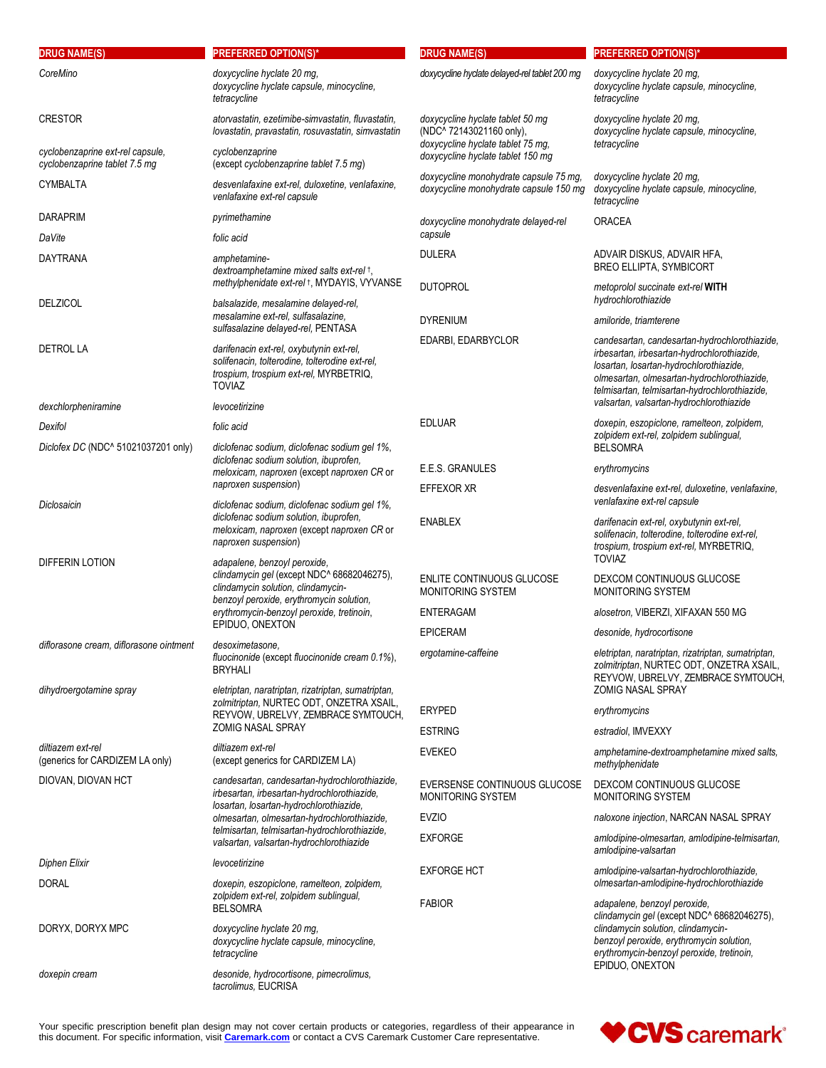| <b>DRUG NAME(S)</b>                                               | <b>PREFERRED OPTION(S)*</b>                                                                                                                                                                                                  | <b>DRUG NAME(S)</b>                                                                               | <b>PREFERRED OPTION(S)*</b>                                                                                                                                                                                                        |  |
|-------------------------------------------------------------------|------------------------------------------------------------------------------------------------------------------------------------------------------------------------------------------------------------------------------|---------------------------------------------------------------------------------------------------|------------------------------------------------------------------------------------------------------------------------------------------------------------------------------------------------------------------------------------|--|
| CoreMino                                                          | doxycycline hyclate 20 mq.<br>doxycycline hyclate capsule, minocycline,<br>tetracycline                                                                                                                                      | doxycycline hyclate delayed-rel tablet 200 mg                                                     | doxycycline hyclate 20 mg,<br>doxycycline hyclate capsule, minocycline,<br>tetracycline                                                                                                                                            |  |
| <b>CRESTOR</b>                                                    | atorvastatin, ezetimibe-simvastatin, fluvastatin,<br>lovastatin, pravastatin, rosuvastatin, simvastatin                                                                                                                      | doxycycline hyclate tablet 50 mg<br>(NDC^ 72143021160 only),<br>doxycycline hyclate tablet 75 mg, | doxycycline hyclate 20 mg,<br>doxycycline hyclate capsule, minocycline,<br>tetracycline                                                                                                                                            |  |
| cyclobenzaprine ext-rel capsule,<br>cyclobenzaprine tablet 7.5 mg | cyclobenzaprine<br>(except cyclobenzaprine tablet 7.5 mg)                                                                                                                                                                    | doxycycline hyclate tablet 150 mg                                                                 |                                                                                                                                                                                                                                    |  |
| CYMBALTA                                                          | desvenlafaxine ext-rel, duloxetine, venlafaxine,<br>venlafaxine ext-rel capsule                                                                                                                                              | doxycycline monohydrate capsule 75 mg,<br>doxycycline monohydrate capsule 150 mg                  | doxycycline hyclate 20 mg,<br>doxycycline hyclate capsule, minocycline,<br>tetracycline                                                                                                                                            |  |
| <b>DARAPRIM</b>                                                   | pyrimethamine                                                                                                                                                                                                                | doxycycline monohydrate delayed-rel                                                               | <b>ORACEA</b>                                                                                                                                                                                                                      |  |
| DaVite                                                            | folic acid                                                                                                                                                                                                                   | capsule                                                                                           |                                                                                                                                                                                                                                    |  |
| <b>DAYTRANA</b>                                                   | amphetamine-<br>dextroamphetamine mixed salts ext-rel +,<br>methylphenidate ext-rel +, MYDAYIS, VYVANSE                                                                                                                      | <b>DULERA</b><br><b>DUTOPROL</b>                                                                  | ADVAIR DISKUS, ADVAIR HFA,<br><b>BREO ELLIPTA, SYMBICORT</b><br>metoprolol succinate ext-rel WITH                                                                                                                                  |  |
| <b>DELZICOL</b>                                                   | balsalazide, mesalamine delayed-rel,<br>mesalamine ext-rel, sulfasalazine,                                                                                                                                                   | <b>DYRENIUM</b>                                                                                   | hydrochlorothiazide<br>amiloride, triamterene                                                                                                                                                                                      |  |
|                                                                   | sulfasalazine delayed-rel, PENTASA                                                                                                                                                                                           | EDARBI, EDARBYCLOR                                                                                | candesartan, candesartan-hydrochlorothiazide,                                                                                                                                                                                      |  |
| <b>DETROL LA</b><br>dexchlorpheniramine                           | darifenacin ext-rel, oxybutynin ext-rel,<br>solifenacin, tolterodine, tolterodine ext-rel,<br>trospium, trospium ext-rel, MYRBETRIQ,<br><b>TOVIAZ</b><br>levocetirizine                                                      |                                                                                                   | irbesartan, irbesartan-hydrochlorothiazide,<br>losartan, losartan-hydrochlorothiazide,<br>olmesartan, olmesartan-hydrochlorothiazide,<br>telmisartan, telmisartan-hydrochlorothiazide,<br>valsartan, valsartan-hydrochlorothiazide |  |
| Dexifol                                                           | folic acid                                                                                                                                                                                                                   | <b>EDLUAR</b>                                                                                     | doxepin, eszopiclone, ramelteon, zolpidem,                                                                                                                                                                                         |  |
| Diclofex DC (NDC^ 51021037201 only)                               | diclofenac sodium, diclofenac sodium gel 1%,<br>diclofenac sodium solution, ibuprofen,<br>meloxicam, naproxen (except naproxen CR or                                                                                         |                                                                                                   | zolpidem ext-rel, zolpidem sublingual,<br><b>BELSOMRA</b>                                                                                                                                                                          |  |
|                                                                   |                                                                                                                                                                                                                              | E.E.S. GRANULES                                                                                   | erythromycins                                                                                                                                                                                                                      |  |
| Diclosaicin                                                       | naproxen suspension)<br>diclofenac sodium, diclofenac sodium gel 1%,                                                                                                                                                         | EFFEXOR XR                                                                                        | desvenlafaxine ext-rel, duloxetine, venlafaxine,<br>venlafaxine ext-rel capsule                                                                                                                                                    |  |
|                                                                   | diclofenac sodium solution, ibuprofen,<br>meloxicam, naproxen (except naproxen CR or<br>naproxen suspension)                                                                                                                 | <b>ENABLEX</b>                                                                                    | darifenacin ext-rel, oxybutynin ext-rel,<br>solifenacin, tolterodine, tolterodine ext-rel,<br>trospium, trospium ext-rel, MYRBETRIQ,<br><b>TOVIAZ</b>                                                                              |  |
| DIFFERIN LOTION                                                   | adapalene, benzoyl peroxide,<br>clindamycin gel (except NDC^ 68682046275),<br>clindamycin solution, clindamycin-<br>benzoyl peroxide, erythromycin solution,<br>erythromycin-benzoyl peroxide, tretinoin,<br>EPIDUO, ONEXTON | ENLITE CONTINUOUS GLUCOSE<br>MONITORING SYSTEM                                                    | DEXCOM CONTINUOUS GLUCOSE<br>MONITORING SYSTEM                                                                                                                                                                                     |  |
|                                                                   |                                                                                                                                                                                                                              | <b>ENTERAGAM</b>                                                                                  | alosetron, VIBERZI, XIFAXAN 550 MG                                                                                                                                                                                                 |  |
|                                                                   |                                                                                                                                                                                                                              | <b>EPICERAM</b>                                                                                   | desonide, hydrocortisone                                                                                                                                                                                                           |  |
| diflorasone cream, diflorasone ointment                           | desoximetasone.<br>fluocinonide (except fluocinonide cream 0.1%),<br><b>BRYHALI</b>                                                                                                                                          | ergotamine-caffeine                                                                               | eletriptan, naratriptan, rizatriptan, sumatriptan,<br>zolmitriptan, NURTEC ODT, ONZETRA XSAIL,<br>REYVOW, UBRELVY, ZEMBRACE SYMTOUCH,                                                                                              |  |
| dihydroergotamine spray                                           | eletriptan, naratriptan, rizatriptan, sumatriptan,<br>zolmitriptan, NURTEC ODT, ONZETRA XSAIL,<br>REYVOW, UBRELVY, ZEMBRACE SYMTOUCH,                                                                                        |                                                                                                   | <b>ZOMIG NASAL SPRAY</b>                                                                                                                                                                                                           |  |
|                                                                   |                                                                                                                                                                                                                              | <b>ERYPED</b>                                                                                     | erythromycins                                                                                                                                                                                                                      |  |
|                                                                   | <b>ZOMIG NASAL SPRAY</b>                                                                                                                                                                                                     | <b>ESTRING</b>                                                                                    | estradiol, IMVEXXY                                                                                                                                                                                                                 |  |
| diltiazem ext-rel<br>(generics for CARDIZEM LA only)              | diltiazem ext-rel<br>(except generics for CARDIZEM LA)                                                                                                                                                                       | <b>EVEKEO</b>                                                                                     | amphetamine-dextroamphetamine mixed salts,<br>methylphenidate                                                                                                                                                                      |  |
| DIOVAN, DIOVAN HCT                                                | candesartan, candesartan-hydrochlorothiazide,<br>irbesartan, irbesartan-hydrochlorothiazide,<br>losartan, losartan-hydrochlorothiazide,<br>olmesartan, olmesartan-hydrochlorothiazide,                                       | EVERSENSE CONTINUOUS GLUCOSE<br>MONITORING SYSTEM                                                 | DEXCOM CONTINUOUS GLUCOSE<br>MONITORING SYSTEM                                                                                                                                                                                     |  |
|                                                                   |                                                                                                                                                                                                                              | <b>EVZIO</b>                                                                                      | naloxone injection, NARCAN NASAL SPRAY                                                                                                                                                                                             |  |
|                                                                   | telmisartan, telmisartan-hydrochlorothiazide,<br>valsartan, valsartan-hydrochlorothiazide                                                                                                                                    | <b>EXFORGE</b>                                                                                    | amlodipine-olmesartan, amlodipine-telmisartan,<br>amlodipine-valsartan                                                                                                                                                             |  |
| Diphen Elixir                                                     | levocetirizine                                                                                                                                                                                                               | <b>EXFORGE HCT</b>                                                                                | amlodipine-valsartan-hydrochlorothiazide,                                                                                                                                                                                          |  |
| <b>DORAL</b>                                                      | doxepin, eszopiclone, ramelteon, zolpidem,<br>zolpidem ext-rel, zolpidem sublingual,<br><b>BELSOMRA</b>                                                                                                                      | <b>FABIOR</b>                                                                                     | olmesartan-amlodipine-hydrochlorothiazide<br>adapalene, benzoyl peroxide,                                                                                                                                                          |  |
| DORYX, DORYX MPC                                                  | doxycycline hyclate 20 mg,<br>doxycycline hyclate capsule, minocycline,<br>tetracycline                                                                                                                                      |                                                                                                   | clindamycin gel (except NDC^ 68682046275),<br>clindamycin solution, clindamycin-<br>benzoyl peroxide, erythromycin solution,<br>erythromycin-benzoyl peroxide, tretinoin,                                                          |  |
| doxepin cream                                                     | desonide, hydrocortisone, pimecrolimus,<br>tacrolimus, EUCRISA                                                                                                                                                               |                                                                                                   | EPIDUO, ONEXTON                                                                                                                                                                                                                    |  |

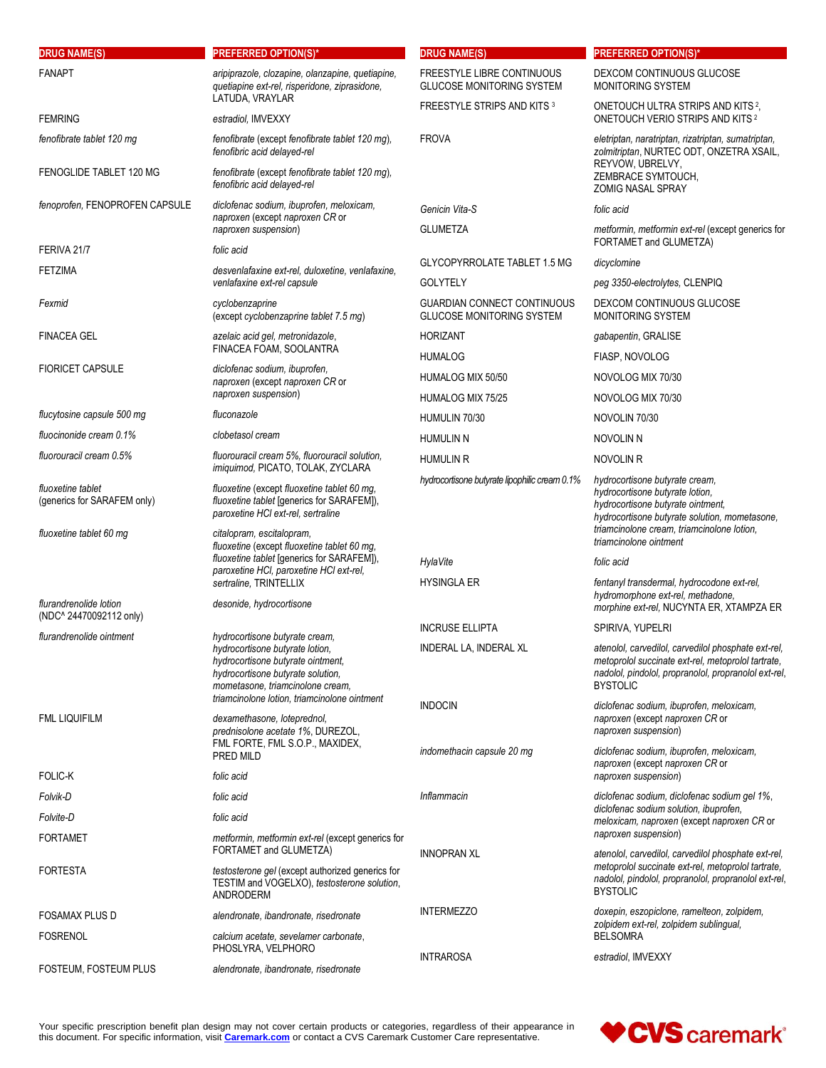| <b>DRUG NAME(S)</b>                                                         | <b>PREFERRED OPTION(S)*</b>                                                                                                                                                                                 | <b>DRUG NAME(S)</b>                                                   | <b>PREFERRED OPTION(S)*</b>                                                                                                                                                                                                     |
|-----------------------------------------------------------------------------|-------------------------------------------------------------------------------------------------------------------------------------------------------------------------------------------------------------|-----------------------------------------------------------------------|---------------------------------------------------------------------------------------------------------------------------------------------------------------------------------------------------------------------------------|
| <b>FANAPT</b>                                                               | aripiprazole, clozapine, olanzapine, quetiapine,<br>quetiapine ext-rel, risperidone, ziprasidone,                                                                                                           | <b>FREESTYLE LIBRE CONTINUOUS</b><br><b>GLUCOSE MONITORING SYSTEM</b> | DEXCOM CONTINUOUS GLUCOSE<br><b>MONITORING SYSTEM</b>                                                                                                                                                                           |
| <b>FEMRING</b>                                                              | LATUDA, VRAYLAR<br>estradiol, IMVEXXY                                                                                                                                                                       | FREESTYLE STRIPS AND KITS 3                                           | ONETOUCH ULTRA STRIPS AND KITS 2,<br>ONETOUCH VERIO STRIPS AND KITS <sup>2</sup>                                                                                                                                                |
| fenofibrate tablet 120 mg                                                   | fenofibrate (except fenofibrate tablet 120 mg),<br>fenofibric acid delayed-rel                                                                                                                              | <b>FROVA</b>                                                          | eletriptan, naratriptan, rizatriptan, sumatriptan,<br>zolmitriptan, NURTEC ODT, ONZETRA XSAIL,                                                                                                                                  |
| FENOGLIDE TABLET 120 MG                                                     | fenofibrate (except fenofibrate tablet 120 mg),<br>fenofibric acid delayed-rel                                                                                                                              |                                                                       | REYVOW, UBRELVY,<br>ZEMBRACE SYMTOUCH,<br>ZOMIG NASAL SPRAY                                                                                                                                                                     |
| fenoprofen, FENOPROFEN CAPSULE                                              | diclofenac sodium, ibuprofen, meloxicam,<br>naproxen (except naproxen CR or                                                                                                                                 | Genicin Vita-S                                                        | folic acid                                                                                                                                                                                                                      |
|                                                                             | naproxen suspension)                                                                                                                                                                                        | <b>GLUMETZA</b>                                                       | metformin, metformin ext-rel (except generics for<br>FORTAMET and GLUMETZA)                                                                                                                                                     |
| FERIVA 21/7                                                                 | folic acid                                                                                                                                                                                                  | <b>GLYCOPYRROLATE TABLET 1.5 MG</b>                                   | dicyclomine                                                                                                                                                                                                                     |
| <b>FETZIMA</b>                                                              | desvenlafaxine ext-rel, duloxetine, venlafaxine,<br>venlafaxine ext-rel capsule                                                                                                                             | <b>GOLYTELY</b>                                                       | peg 3350-electrolytes, CLENPIQ                                                                                                                                                                                                  |
| Fexmid                                                                      | cyclobenzaprine<br>(except cyclobenzaprine tablet 7.5 mg)                                                                                                                                                   | <b>GUARDIAN CONNECT CONTINUOUS</b><br>GLUCOSE MONITORING SYSTEM       | DEXCOM CONTINUOUS GLUCOSE<br><b>MONITORING SYSTEM</b>                                                                                                                                                                           |
| <b>FINACEA GEL</b>                                                          | azelaic acid gel, metronidazole,                                                                                                                                                                            | <b>HORIZANT</b>                                                       | gabapentin, GRALISE                                                                                                                                                                                                             |
|                                                                             | FINACEA FOAM, SOOLANTRA                                                                                                                                                                                     | <b>HUMALOG</b>                                                        | FIASP, NOVOLOG                                                                                                                                                                                                                  |
| <b>FIORICET CAPSULE</b>                                                     | diclofenac sodium, ibuprofen,<br>naproxen (except naproxen CR or                                                                                                                                            | HUMALOG MIX 50/50                                                     | NOVOLOG MIX 70/30                                                                                                                                                                                                               |
|                                                                             | naproxen suspension)                                                                                                                                                                                        | HUMALOG MIX 75/25                                                     | NOVOLOG MIX 70/30                                                                                                                                                                                                               |
| flucytosine capsule 500 mg                                                  | fluconazole                                                                                                                                                                                                 | HUMULIN 70/30                                                         | NOVOLIN 70/30                                                                                                                                                                                                                   |
| fluocinonide cream 0.1%                                                     | clobetasol cream                                                                                                                                                                                            | <b>HUMULIN N</b>                                                      | <b>NOVOLIN N</b>                                                                                                                                                                                                                |
| fluorouracil cream 0.5%                                                     | fluorouracil cream 5%, fluorouracil solution,<br>imiquimod, PICATO, TOLAK, ZYCLARA                                                                                                                          | <b>HUMULIN R</b>                                                      | NOVOLIN R                                                                                                                                                                                                                       |
| fluoxetine tablet<br>(generics for SARAFEM only)<br>fluoxetine tablet 60 mg | fluoxetine (except fluoxetine tablet 60 mg,<br>fluoxetine tablet [generics for SARAFEM]),<br>paroxetine HCI ext-rel, sertraline<br>citalopram, escitalopram,<br>fluoxetine (except fluoxetine tablet 60 mg, | hydrocortisone butyrate lipophilic cream 0.1%                         | hydrocortisone butyrate cream,<br>hydrocortisone butyrate lotion,<br>hydrocortisone butyrate ointment,<br>hydrocortisone butyrate solution, mometasone,<br>triamcinolone cream, triamcinolone lotion,<br>triamcinolone ointment |
|                                                                             | fluoxetine tablet [generics for SARAFEM]),                                                                                                                                                                  | <b>HylaVite</b>                                                       | folic acid                                                                                                                                                                                                                      |
|                                                                             | paroxetine HCI, paroxetine HCI ext-rel,<br>sertraline, TRINTELLIX                                                                                                                                           | <b>HYSINGLA ER</b>                                                    | fentanyl transdermal, hydrocodone ext-rel,                                                                                                                                                                                      |
| flurandrenolide lotion<br>(NDC^24470092112 only)                            | desonide, hydrocortisone                                                                                                                                                                                    |                                                                       | hydromorphone ext-rel, methadone,<br>morphine ext-rel, NUCYNTA ER, XTAMPZA ER                                                                                                                                                   |
| flurandrenolide ointment                                                    | hydrocortisone butyrate cream,                                                                                                                                                                              | <b>INCRUSE ELLIPTA</b>                                                | SPIRIVA, YUPELRI                                                                                                                                                                                                                |
|                                                                             | hydrocortisone butyrate lotion,<br>hydrocortisone butyrate ointment,<br>hydrocortisone butyrate solution,<br>mometasone, triamcinolone cream,                                                               | INDERAL LA, INDERAL XL                                                | atenolol, carvedilol, carvedilol phosphate ext-rel,<br>metoprolol succinate ext-rel, metoprolol tartrate,<br>nadolol, pindolol, propranolol, propranolol ext-rel,<br><b>BYSTOLIC</b>                                            |
| FML LIQUIFILM                                                               | triamcinolone lotion, triamcinolone ointment<br>dexamethasone, loteprednol,<br>prednisolone acetate 1%, DUREZOL,                                                                                            | <b>INDOCIN</b>                                                        | diclofenac sodium, ibuprofen, meloxicam,<br>naproxen (except naproxen CR or<br>naproxen suspension)                                                                                                                             |
|                                                                             | FML FORTE, FML S.O.P., MAXIDEX,<br>PRED MILD                                                                                                                                                                | indomethacin capsule 20 mg                                            | diclofenac sodium, ibuprofen, meloxicam,<br>naproxen (except naproxen CR or                                                                                                                                                     |
| <b>FOLIC-K</b>                                                              | folic acid                                                                                                                                                                                                  |                                                                       | naproxen suspension)                                                                                                                                                                                                            |
| Folvik-D                                                                    | folic acid                                                                                                                                                                                                  | Inflammacin                                                           | diclofenac sodium, diclofenac sodium gel 1%,<br>diclofenac sodium solution, ibuprofen,                                                                                                                                          |
| Folvite-D                                                                   | folic acid                                                                                                                                                                                                  |                                                                       | meloxicam, naproxen (except naproxen CR or<br>naproxen suspension)                                                                                                                                                              |
| <b>FORTAMET</b>                                                             | metformin, metformin ext-rel (except generics for<br>FORTAMET and GLUMETZA)                                                                                                                                 | <b>INNOPRAN XL</b>                                                    | atenolol, carvedilol, carvedilol phosphate ext-rel,                                                                                                                                                                             |
| <b>FORTESTA</b>                                                             | testosterone gel (except authorized generics for<br>TESTIM and VOGELXO), testosterone solution,<br>ANDRODERM                                                                                                |                                                                       | metoprolol succinate ext-rel, metoprolol tartrate,<br>nadolol, pindolol, propranolol, propranolol ext-rel,<br><b>BYSTOLIC</b>                                                                                                   |
| <b>FOSAMAX PLUS D</b>                                                       | alendronate, ibandronate, risedronate                                                                                                                                                                       | <b>INTERMEZZO</b>                                                     | doxepin, eszopiclone, ramelteon, zolpidem,                                                                                                                                                                                      |
| <b>FOSRENOL</b>                                                             | calcium acetate, sevelamer carbonate,<br>PHOSLYRA, VELPHORO                                                                                                                                                 |                                                                       | zolpidem ext-rel, zolpidem sublingual,<br><b>BELSOMRA</b>                                                                                                                                                                       |
| FOSTEUM, FOSTEUM PLUS                                                       | alendronate, ibandronate, risedronate                                                                                                                                                                       | <b>INTRAROSA</b>                                                      | estradiol, IMVEXXY                                                                                                                                                                                                              |

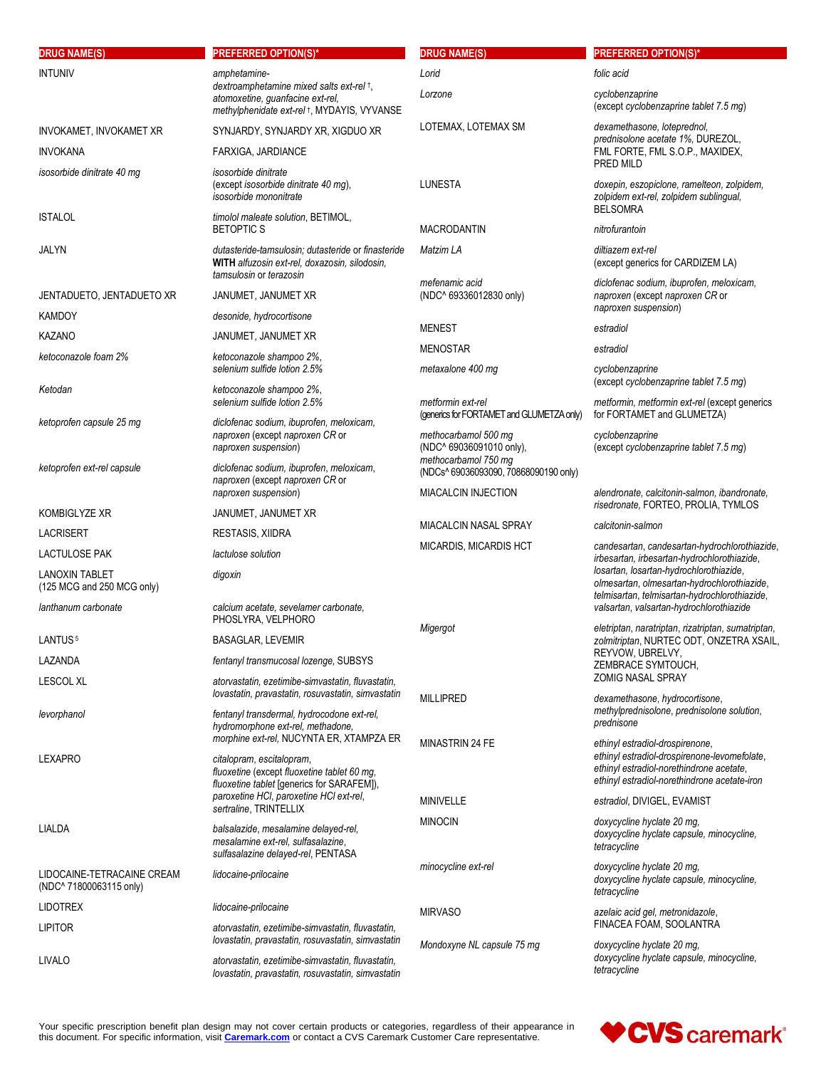| <b>DRUG NAME(S)</b>                                               | <b>PREFERRED OPTION(S)*</b>                                                                                                                                        | <b>DRUG NAME(S)</b>                                                                         | <b>PREFERRED OPTION(S)*</b>                                                                                                                                                 |
|-------------------------------------------------------------------|--------------------------------------------------------------------------------------------------------------------------------------------------------------------|---------------------------------------------------------------------------------------------|-----------------------------------------------------------------------------------------------------------------------------------------------------------------------------|
| <b>INTUNIV</b>                                                    | amphetamine-                                                                                                                                                       | Lorid                                                                                       | folic acid                                                                                                                                                                  |
|                                                                   | dextroamphetamine mixed salts ext-rel +,<br>atomoxetine, guanfacine ext-rel,<br>methylphenidate ext-rel +, MYDAYIS, VYVANSE                                        | Lorzone                                                                                     | cyclobenzaprine<br>(except cyclobenzaprine tablet 7.5 mg)                                                                                                                   |
| INVOKAMET, INVOKAMET XR                                           | SYNJARDY, SYNJARDY XR, XIGDUO XR                                                                                                                                   | LOTEMAX, LOTEMAX SM                                                                         | dexamethasone, loteprednol,<br>prednisolone acetate 1%, DUREZOL,<br>FML FORTE, FML S.O.P., MAXIDEX,<br>PRED MILD                                                            |
| <b>INVOKANA</b>                                                   | FARXIGA, JARDIANCE                                                                                                                                                 |                                                                                             |                                                                                                                                                                             |
| isosorbide dinitrate 40 mg                                        | isosorbide dinitrate<br>(except isosorbide dinitrate 40 mg),<br>isosorbide mononitrate                                                                             | <b>LUNESTA</b>                                                                              | doxepin, eszopiclone, ramelteon, zolpidem,<br>zolpidem ext-rel, zolpidem sublingual,<br><b>BELSOMRA</b>                                                                     |
| <b>ISTALOL</b>                                                    | timolol maleate solution, BETIMOL,<br><b>BETOPTIC S</b>                                                                                                            | <b>MACRODANTIN</b>                                                                          | nitrofurantoin                                                                                                                                                              |
| JALYN                                                             | dutasteride-tamsulosin; dutasteride or finasteride<br>WITH alfuzosin ext-rel, doxazosin, silodosin,<br>tamsulosin or terazosin                                     | Matzim LA<br>mefenamic acid                                                                 | diltiazem ext-rel<br>(except generics for CARDIZEM LA)<br>diclofenac sodium, ibuprofen, meloxicam,                                                                          |
| JENTADUETO, JENTADUETO XR                                         | JANUMET, JANUMET XR                                                                                                                                                | (NDC^ 69336012830 only)                                                                     | naproxen (except naproxen CR or                                                                                                                                             |
| <b>KAMDOY</b>                                                     | desonide, hydrocortisone                                                                                                                                           |                                                                                             | naproxen suspension)                                                                                                                                                        |
| <b>KAZANO</b>                                                     | JANUMET, JANUMET XR                                                                                                                                                | <b>MENEST</b>                                                                               | estradiol                                                                                                                                                                   |
| ketoconazole foam 2%                                              | ketoconazole shampoo 2%,                                                                                                                                           | <b>MENOSTAR</b>                                                                             | estradiol                                                                                                                                                                   |
|                                                                   | selenium sulfide lotion 2.5%                                                                                                                                       | metaxalone 400 mg                                                                           | cyclobenzaprine<br>(except cyclobenzaprine tablet 7.5 mg)                                                                                                                   |
| Ketodan                                                           | ketoconazole shampoo 2%,<br>selenium sulfide lotion 2.5%                                                                                                           | metformin ext-rel<br>(generics for FORTAMET and GLUMETZA only)                              | metformin, metformin ext-rel (except generics<br>for FORTAMET and GLUMETZA)                                                                                                 |
| ketoprofen capsule 25 mg                                          | diclofenac sodium, ibuprofen, meloxicam,<br>naproxen (except naproxen CR or<br>naproxen suspension)                                                                | methocarbamol 500 mg<br>(NDC^ 69036091010 only),                                            | cyclobenzaprine<br>(except cyclobenzaprine tablet 7.5 mg)                                                                                                                   |
| ketoprofen ext-rel capsule                                        | diclofenac sodium, ibuprofen, meloxicam,<br>naproxen (except naproxen CR or<br>naproxen suspension)                                                                | methocarbamol 750 mg<br>(NDCs^ 69036093090, 70868090190 only)<br><b>MIACALCIN INJECTION</b> | alendronate, calcitonin-salmon, ibandronate,                                                                                                                                |
| KOMBIGLYZE XR                                                     | JANUMET, JANUMET XR                                                                                                                                                |                                                                                             | risedronate, FORTEO, PROLIA, TYMLOS                                                                                                                                         |
| LACRISERT                                                         | RESTASIS, XIIDRA                                                                                                                                                   | <b>MIACALCIN NASAL SPRAY</b>                                                                | calcitonin-salmon                                                                                                                                                           |
| <b>LACTULOSE PAK</b>                                              | lactulose solution                                                                                                                                                 | MICARDIS, MICARDIS HCT                                                                      | candesartan, candesartan-hydrochlorothiazide,<br>irbesartan, irbesartan-hydrochlorothiazide,                                                                                |
| <b>LANOXIN TABLET</b><br>(125 MCG and 250 MCG only)               | digoxin                                                                                                                                                            |                                                                                             | losartan, losartan-hydrochlorothiazide,<br>olmesartan, olmesartan-hydrochlorothiazide,<br>telmisartan, telmisartan-hydrochlorothiazide,                                     |
| lanthanum carbonate                                               | calcium acetate, sevelamer carbonate,<br>PHOSLYRA, VELPHORO                                                                                                        | Migergot                                                                                    | valsartan, valsartan-hydrochlorothiazide<br>eletriptan, naratriptan, rizatriptan, sumatriptan,                                                                              |
| LANTUS <sup>5</sup>                                               | <b>BASAGLAR, LEVEMIR</b>                                                                                                                                           |                                                                                             | zolmitriptan, NURTEC ODT, ONZETRA XSAIL,                                                                                                                                    |
| LAZANDA                                                           | fentanyl transmucosal lozenge, SUBSYS                                                                                                                              |                                                                                             | REYVOW, UBRELVY,<br>ZEMBRACE SYMTOUCH,                                                                                                                                      |
| <b>LESCOL XL</b>                                                  | atorvastatin, ezetimibe-simvastatin, fluvastatin,<br>lovastatin, pravastatin, rosuvastatin, simvastatin                                                            |                                                                                             | <b>ZOMIG NASAL SPRAY</b>                                                                                                                                                    |
| levorphanol                                                       | fentanyl transdermal, hydrocodone ext-rel,<br>hydromorphone ext-rel, methadone,                                                                                    | <b>MILLIPRED</b>                                                                            | dexamethasone, hydrocortisone,<br>methylprednisolone, prednisolone solution,<br>prednisone                                                                                  |
| LEXAPRO                                                           | morphine ext-rel, NUCYNTA ER, XTAMPZA ER<br>citalopram, escitalopram,<br>fluoxetine (except fluoxetine tablet 60 mg,<br>fluoxetine tablet [generics for SARAFEM]), | <b>MINASTRIN 24 FE</b>                                                                      | ethinyl estradiol-drospirenone,<br>ethinyl estradiol-drospirenone-levomefolate,<br>ethinyl estradiol-norethindrone acetate,<br>ethinyl estradiol-norethindrone acetate-iron |
|                                                                   | paroxetine HCI, paroxetine HCI ext-rel,<br>sertraline, TRINTELLIX                                                                                                  | <b>MINIVELLE</b>                                                                            | estradiol, DIVIGEL, EVAMIST                                                                                                                                                 |
| LIALDA                                                            | balsalazide, mesalamine delayed-rel,<br>mesalamine ext-rel, sulfasalazine,<br>sulfasalazine delayed-rel, PENTASA                                                   | <b>MINOCIN</b>                                                                              | doxycycline hyclate 20 mg,<br>doxycycline hyclate capsule, minocycline,<br>tetracycline                                                                                     |
| LIDOCAINE-TETRACAINE CREAM<br>(NDC <sup>^</sup> 71800063115 only) | lidocaine-prilocaine                                                                                                                                               | minocycline ext-rel                                                                         | doxycycline hyclate 20 mg,<br>doxycycline hyclate capsule, minocycline,<br>tetracycline                                                                                     |
| <b>LIDOTREX</b>                                                   | lidocaine-prilocaine                                                                                                                                               | <b>MIRVASO</b>                                                                              | azelaic acid gel, metronidazole,                                                                                                                                            |
| <b>LIPITOR</b>                                                    | atorvastatin, ezetimibe-simvastatin, fluvastatin,<br>lovastatin, pravastatin, rosuvastatin, simvastatin                                                            | Mondoxyne NL capsule 75 mg                                                                  | FINACEA FOAM, SOOLANTRA<br>doxycycline hyclate 20 mg,                                                                                                                       |
| LIVALO                                                            | atorvastatin, ezetimibe-simvastatin, fluvastatin,<br>lovastatin, pravastatin, rosuvastatin, simvastatin                                                            |                                                                                             | doxycycline hyclate capsule, minocycline,<br>tetracycline                                                                                                                   |

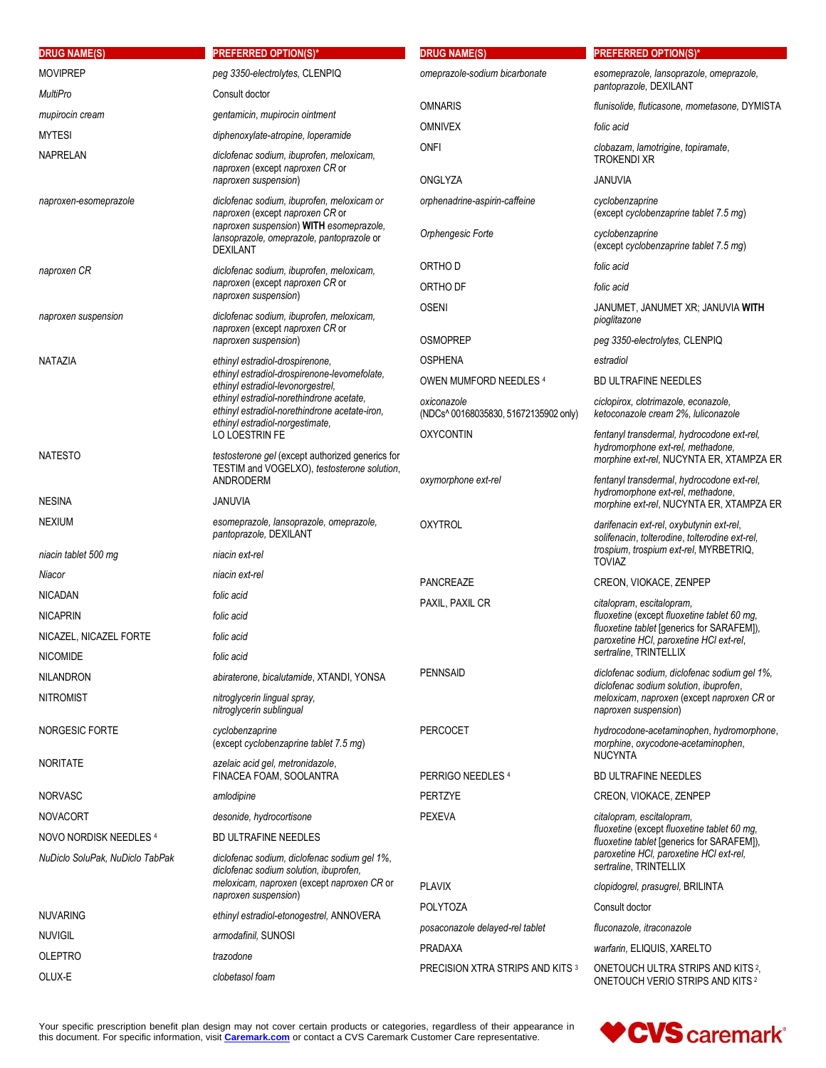| <b>DRUG NAME(S)</b>             | <b>PREFERRED OPTION(S)*</b>                                                                                                                                  | <b>DRUG NAME(S)</b>                                  | <b>PREFERRED OPTION(S)*</b>                                                                  |  |
|---------------------------------|--------------------------------------------------------------------------------------------------------------------------------------------------------------|------------------------------------------------------|----------------------------------------------------------------------------------------------|--|
| <b>MOVIPREP</b>                 | peg 3350-electrolytes, CLENPIQ                                                                                                                               | omeprazole-sodium bicarbonate                        | esomeprazole, lansoprazole, omeprazole,                                                      |  |
| <b>MultiPro</b>                 | Consult doctor                                                                                                                                               |                                                      | pantoprazole, DEXILANT                                                                       |  |
| mupirocin cream                 | gentamicin, mupirocin ointment                                                                                                                               | <b>OMNARIS</b>                                       | flunisolide, fluticasone, mometasone, DYMISTA                                                |  |
| <b>MYTESI</b>                   | diphenoxylate-atropine, loperamide                                                                                                                           | <b>OMNIVEX</b>                                       | folic acid                                                                                   |  |
| NAPRELAN                        | diclofenac sodium, ibuprofen, meloxicam,<br>naproxen (except naproxen CR or                                                                                  | <b>ONFI</b>                                          | clobazam, lamotrigine, topiramate,<br><b>TROKENDI XR</b>                                     |  |
|                                 | naproxen suspension)                                                                                                                                         | ONGLYZA                                              | JANUVIA                                                                                      |  |
| naproxen-esomeprazole           | diclofenac sodium, ibuprofen, meloxicam or<br>naproxen (except naproxen CR or<br>naproxen suspension) WITH esomeprazole,                                     | orphenadrine-aspirin-caffeine                        | cyclobenzaprine<br>(except cyclobenzaprine tablet 7.5 mg)                                    |  |
|                                 | lansoprazole, omeprazole, pantoprazole or<br><b>DEXILANT</b>                                                                                                 | Orphengesic Forte                                    | cyclobenzaprine<br>(except cyclobenzaprine tablet 7.5 mg)                                    |  |
| naproxen CR                     | diclofenac sodium, ibuprofen, meloxicam,                                                                                                                     | ORTHO D                                              | folic acid                                                                                   |  |
|                                 | naproxen (except naproxen CR or<br>naproxen suspension)                                                                                                      | ORTHO DF                                             | folic acid                                                                                   |  |
| naproxen suspension             | diclofenac sodium, ibuprofen, meloxicam,<br>naproxen (except naproxen CR or                                                                                  | <b>OSENI</b>                                         | JANUMET, JANUMET XR; JANUVIA WITH<br>pioglitazone                                            |  |
|                                 | naproxen suspension)                                                                                                                                         | <b>OSMOPREP</b>                                      | peg 3350-electrolytes, CLENPIQ                                                               |  |
| NATAZIA                         | ethinyl estradiol-drospirenone,                                                                                                                              | <b>OSPHENA</b>                                       | estradiol                                                                                    |  |
|                                 | ethinyl estradiol-drospirenone-levomefolate.<br>ethinyl estradiol-levonorgestrel,                                                                            | OWEN MUMFORD NEEDLES 4                               | <b>BD ULTRAFINE NEEDLES</b>                                                                  |  |
|                                 | ethinyl estradiol-norethindrone acetate.<br>ethinyl estradiol-norethindrone acetate-iron,                                                                    | oxiconazole<br>(NDCs^ 00168035830, 51672135902 only) | ciclopirox, clotrimazole, econazole,<br>ketoconazole cream 2%. Iuliconazole                  |  |
|                                 | ethinyl estradiol-norgestimate,<br><b>LO LOESTRIN FE</b>                                                                                                     | <b>OXYCONTIN</b>                                     | fentanyl transdermal, hydrocodone ext-rel,                                                   |  |
| <b>NATESTO</b>                  | testosterone gel (except authorized generics for<br>TESTIM and VOGELXO), testosterone solution,                                                              |                                                      | hydromorphone ext-rel, methadone,<br>morphine ext-rel, NUCYNTA ER, XTAMPZA ER                |  |
|                                 | ANDRODERM                                                                                                                                                    | oxymorphone ext-rel                                  | fentanyl transdermal, hydrocodone ext-rel,<br>hydromorphone ext-rel, methadone,              |  |
| <b>NESINA</b>                   | <b>JANUVIA</b>                                                                                                                                               |                                                      | morphine ext-rel, NUCYNTA ER, XTAMPZA ER                                                     |  |
| <b>NEXIUM</b>                   | esomeprazole, lansoprazole, omeprazole,<br>pantoprazole, DEXILANT                                                                                            | <b>OXYTROL</b>                                       | darifenacin ext-rel, oxybutynin ext-rel,<br>solifenacin, tolterodine, tolterodine ext-rel,   |  |
| niacin tablet 500 mg            | niacin ext-rel                                                                                                                                               |                                                      | trospium, trospium ext-rel, MYRBETRIQ,<br><b>TOVIAZ</b>                                      |  |
| Niacor                          | niacin ext-rel                                                                                                                                               | PANCREAZE                                            | CREON, VIOKACE, ZENPEP                                                                       |  |
| <b>NICADAN</b>                  | folic acid                                                                                                                                                   | PAXIL, PAXIL CR                                      | citalopram, escitalopram,                                                                    |  |
| <b>NICAPRIN</b>                 | folic acid                                                                                                                                                   |                                                      | fluoxetine (except fluoxetine tablet 60 mg,<br>fluoxetine tablet [generics for SARAFEM]),    |  |
| NICAZEL, NICAZEL FORTE          | folic acid                                                                                                                                                   |                                                      | paroxetine HCI, paroxetine HCI ext-rel,                                                      |  |
| <b>NICOMIDE</b>                 | folic acid                                                                                                                                                   |                                                      | sertraline, TRINTELLIX                                                                       |  |
| <b>NILANDRON</b>                | abiraterone, bicalutamide, XTANDI, YONSA                                                                                                                     | <b>PENNSAID</b>                                      | diclofenac sodium, diclofenac sodium gel 1%,<br>diclofenac sodium solution, ibuprofen,       |  |
| <b>NITROMIST</b>                | nitroglycerin lingual spray.<br>nitroglycerin sublingual                                                                                                     |                                                      | meloxicam, naproxen (except naproxen CR or<br>naproxen suspension)                           |  |
| <b>NORGESIC FORTE</b>           | cyclobenzaprine<br>(except cyclobenzaprine tablet 7.5 mg)                                                                                                    | <b>PERCOCET</b>                                      | hydrocodone-acetaminophen, hydromorphone,<br>morphine, oxycodone-acetaminophen,              |  |
| <b>NORITATE</b>                 | azelaic acid gel, metronidazole,<br>FINACEA FOAM, SOOLANTRA                                                                                                  | PERRIGO NEEDLES 4                                    | <b>NUCYNTA</b><br><b>BD ULTRAFINE NEEDLES</b>                                                |  |
| <b>NORVASC</b>                  | amlodipine                                                                                                                                                   | <b>PERTZYE</b>                                       | CREON, VIOKACE, ZENPEP                                                                       |  |
| <b>NOVACORT</b>                 | desonide, hydrocortisone                                                                                                                                     | <b>PEXEVA</b>                                        | citalopram, escitalopram,                                                                    |  |
| NOVO NORDISK NEEDLES 4          | <b>BD ULTRAFINE NEEDLES</b>                                                                                                                                  |                                                      | fluoxetine (except fluoxetine tablet 60 mg,<br>fluoxetine tablet [generics for SARAFEM]),    |  |
| NuDiclo SoluPak, NuDiclo TabPak | diclofenac sodium, diclofenac sodium gel 1%,<br>diclofenac sodium solution, ibuprofen,<br>meloxicam, naproxen (except naproxen CR or<br>naproxen suspension) |                                                      | paroxetine HCI, paroxetine HCI ext-rel,<br>sertraline, TRINTELLIX                            |  |
|                                 |                                                                                                                                                              | <b>PLAVIX</b>                                        | clopidogrel, prasugrel, BRILINTA                                                             |  |
| <b>NUVARING</b>                 | ethinyl estradiol-etonogestrel, ANNOVERA                                                                                                                     | <b>POLYTOZA</b>                                      | Consult doctor                                                                               |  |
| <b>NUVIGIL</b>                  | armodafinil, SUNOSI                                                                                                                                          | posaconazole delayed-rel tablet                      | fluconazole, itraconazole                                                                    |  |
| <b>OLEPTRO</b>                  | trazodone                                                                                                                                                    | <b>PRADAXA</b>                                       | warfarin, ELIQUIS, XARELTO                                                                   |  |
| OLUX-E                          | clobetasol foam                                                                                                                                              | PRECISION XTRA STRIPS AND KITS 3                     | ONETOUCH ULTRA STRIPS AND KITS <sup>2</sup> ,<br>ONETOUCH VERIO STRIPS AND KITS <sup>2</sup> |  |

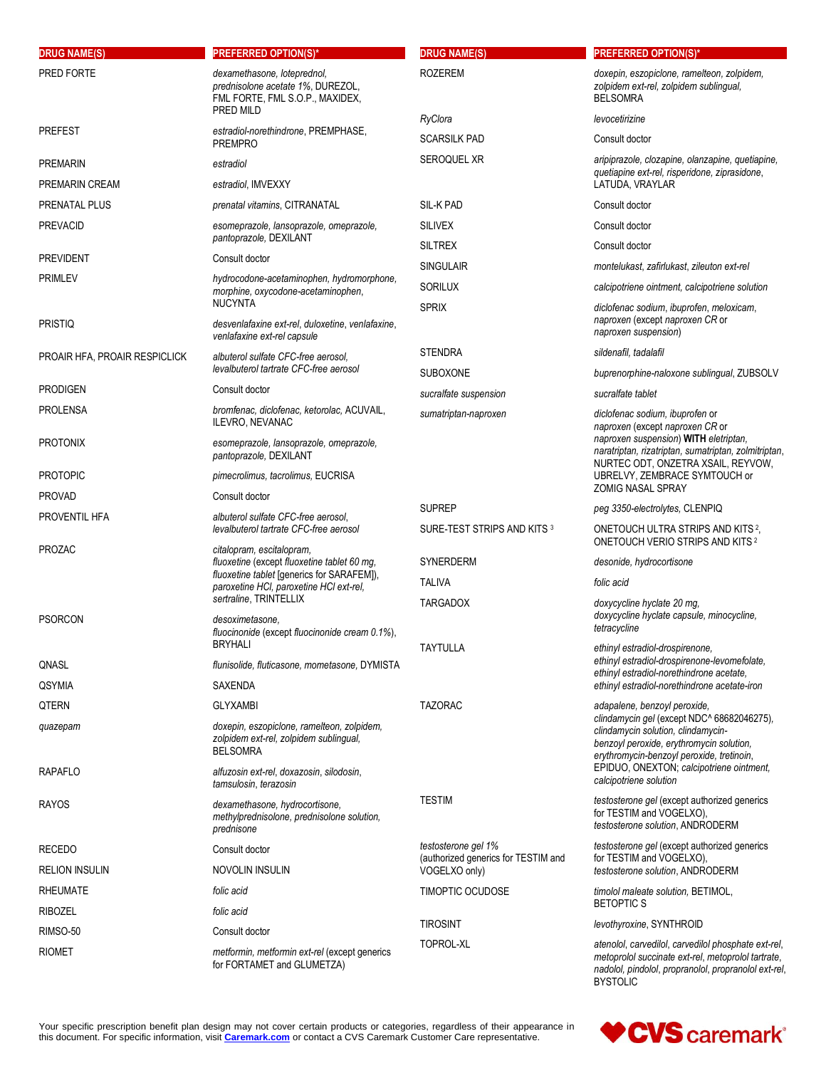| <b>DRUG NAME(S)</b>           | <b>PREFERRED OPTION(S)*</b>                                                                                            | <b>DRUG NAME(S)</b>                                  | <b>PREFERRED OPTION(S)*</b>                                                                                                                                                          |
|-------------------------------|------------------------------------------------------------------------------------------------------------------------|------------------------------------------------------|--------------------------------------------------------------------------------------------------------------------------------------------------------------------------------------|
| PRED FORTE                    | dexamethasone, loteprednol,<br>prednisolone acetate 1%, DUREZOL,<br>FML FORTE, FML S.O.P., MAXIDEX,                    | <b>ROZEREM</b>                                       | doxepin, eszopiclone, ramelteon, zolpidem,<br>zolpidem ext-rel, zolpidem sublingual,<br><b>BELSOMRA</b>                                                                              |
|                               | PRED MILD                                                                                                              | RyClora                                              | levocetirizine                                                                                                                                                                       |
| PREFEST                       | estradiol-norethindrone, PREMPHASE,<br><b>PREMPRO</b>                                                                  | <b>SCARSILK PAD</b>                                  | Consult doctor                                                                                                                                                                       |
| PREMARIN                      | estradiol                                                                                                              | SEROQUEL XR                                          | aripiprazole, clozapine, olanzapine, quetiapine,                                                                                                                                     |
| PREMARIN CREAM                | estradiol, IMVEXXY                                                                                                     |                                                      | quetiapine ext-rel, risperidone, ziprasidone,<br>LATUDA, VRAYLAR                                                                                                                     |
| PRENATAL PLUS                 | prenatal vitamins, CITRANATAL                                                                                          | SIL-K PAD                                            | Consult doctor                                                                                                                                                                       |
| <b>PREVACID</b>               | esomeprazole, lansoprazole, omeprazole,                                                                                | <b>SILIVEX</b>                                       | Consult doctor                                                                                                                                                                       |
|                               | pantoprazole, DEXILANT                                                                                                 | <b>SILTREX</b>                                       | Consult doctor                                                                                                                                                                       |
| PREVIDENT                     | Consult doctor                                                                                                         | <b>SINGULAIR</b>                                     | montelukast, zafirlukast, zileuton ext-rel                                                                                                                                           |
| PRIMLEV                       | hydrocodone-acetaminophen, hydromorphone,<br>morphine, oxycodone-acetaminophen,                                        | <b>SORILUX</b>                                       | calcipotriene ointment, calcipotriene solution                                                                                                                                       |
|                               | <b>NUCYNTA</b>                                                                                                         | <b>SPRIX</b>                                         | diclofenac sodium, ibuprofen, meloxicam,                                                                                                                                             |
| PRISTIQ                       | desvenlafaxine ext-rel, duloxetine, venlafaxine,<br>venlafaxine ext-rel capsule                                        |                                                      | naproxen (except naproxen CR or<br>naproxen suspension)                                                                                                                              |
| PROAIR HFA, PROAIR RESPICLICK | albuterol sulfate CFC-free aerosol.                                                                                    | <b>STENDRA</b>                                       | sildenafil, tadalafil                                                                                                                                                                |
|                               | levalbuterol tartrate CFC-free aerosol                                                                                 | <b>SUBOXONE</b>                                      | buprenorphine-naloxone sublingual, ZUBSOLV                                                                                                                                           |
| <b>PRODIGEN</b>               | Consult doctor                                                                                                         | sucralfate suspension                                | sucralfate tablet                                                                                                                                                                    |
| <b>PROLENSA</b>               | bromfenac, diclofenac, ketorolac, ACUVAIL,<br><b>ILEVRO, NEVANAC</b>                                                   | sumatriptan-naproxen                                 | diclofenac sodium, ibuprofen or<br>naproxen (except naproxen CR or<br>naproxen suspension) WITH eletriptan,                                                                          |
| PROTONIX                      | esomeprazole, lansoprazole, omeprazole,<br>pantoprazole, DEXILANT                                                      |                                                      | naratriptan, rizatriptan, sumatriptan, zolmitriptan,<br>NURTEC ODT, ONZETRA XSAIL, REYVOW,                                                                                           |
| <b>PROTOPIC</b>               | pimecrolimus, tacrolimus, EUCRISA                                                                                      |                                                      | UBRELVY, ZEMBRACE SYMTOUCH or<br><b>ZOMIG NASAL SPRAY</b>                                                                                                                            |
| PROVAD                        | Consult doctor                                                                                                         | <b>SUPREP</b>                                        | peg 3350-electrolytes, CLENPIQ                                                                                                                                                       |
| PROVENTIL HFA                 | albuterol sulfate CFC-free aerosol,<br>levalbuterol tartrate CFC-free aerosol                                          | SURE-TEST STRIPS AND KITS 3                          | ONETOUCH ULTRA STRIPS AND KITS 2,<br>ONETOUCH VERIO STRIPS AND KITS <sup>2</sup>                                                                                                     |
| PROZAC                        | citalopram, escitalopram,<br>fluoxetine (except fluoxetine tablet 60 mg,<br>fluoxetine tablet [generics for SARAFEM]), | SYNERDERM                                            | desonide, hydrocortisone                                                                                                                                                             |
|                               |                                                                                                                        | <b>TALIVA</b>                                        | folic acid                                                                                                                                                                           |
|                               | paroxetine HCI, paroxetine HCI ext-rel,<br>sertraline, TRINTELLIX                                                      | <b>TARGADOX</b>                                      | doxycycline hyclate 20 mg,                                                                                                                                                           |
| PSORCON                       | desoximetasone.<br>fluocinonide (except fluocinonide cream 0.1%),<br><b>BRYHALI</b>                                    |                                                      | doxycycline hyclate capsule, minocycline,<br>tetracycline                                                                                                                            |
| QNASL                         | flunisolide, fluticasone, mometasone, DYMISTA                                                                          | <b>TAYTULLA</b>                                      | ethinyl estradiol-drospirenone,<br>ethinyl estradiol-drospirenone-levomefolate.                                                                                                      |
| <b>QSYMIA</b>                 | SAXENDA                                                                                                                |                                                      | ethinyl estradiol-norethindrone acetate,<br>ethinyl estradiol-norethindrone acetate-iron                                                                                             |
| QTERN                         | <b>GLYXAMBI</b>                                                                                                        | <b>TAZORAC</b>                                       | adapalene, benzoyl peroxide,                                                                                                                                                         |
| quazepam                      | doxepin, eszopiclone, ramelteon, zolpidem,<br>zolpidem ext-rel, zolpidem sublingual,<br><b>BELSOMRA</b>                |                                                      | clindamycin gel (except NDC^ 68682046275),<br>clindamycin solution, clindamycin-<br>benzoyl peroxide, erythromycin solution,<br>erythromycin-benzoyl peroxide, tretinoin,            |
| RAPAFLO                       | alfuzosin ext-rel, doxazosin, silodosin,<br>tamsulosin, terazosin                                                      |                                                      | EPIDUO, ONEXTON; calcipotriene ointment,<br>calcipotriene solution                                                                                                                   |
| RAYOS                         | dexamethasone, hydrocortisone,<br>methylprednisolone, prednisolone solution,<br>prednisone                             | <b>TESTIM</b>                                        | testosterone gel (except authorized generics<br>for TESTIM and VOGELXO),<br>testosterone solution, ANDRODERM                                                                         |
| RECEDO                        | Consult doctor                                                                                                         | testosterone gel 1%                                  | testosterone gel (except authorized generics<br>for TESTIM and VOGELXO),                                                                                                             |
| RELION INSULIN                | NOVOLIN INSULIN                                                                                                        | (authorized generics for TESTIM and<br>VOGELXO only) | testosterone solution, ANDRODERM                                                                                                                                                     |
| RHEUMATE                      | folic acid                                                                                                             | TIMOPTIC OCUDOSE                                     | timolol maleate solution, BETIMOL,                                                                                                                                                   |
| RIBOZEL                       | folic acid                                                                                                             |                                                      | <b>BETOPTICS</b>                                                                                                                                                                     |
| RIMSO-50                      | Consult doctor                                                                                                         | <b>TIROSINT</b>                                      | levothyroxine, SYNTHROID                                                                                                                                                             |
| RIOMET                        | metformin, metformin ext-rel (except generics<br>for FORTAMET and GLUMETZA)                                            | TOPROL-XL                                            | atenolol, carvedilol, carvedilol phosphate ext-rel,<br>metoprolol succinate ext-rel, metoprolol tartrate,<br>nadolol, pindolol, propranolol, propranolol ext-rel,<br><b>BYSTOLIC</b> |

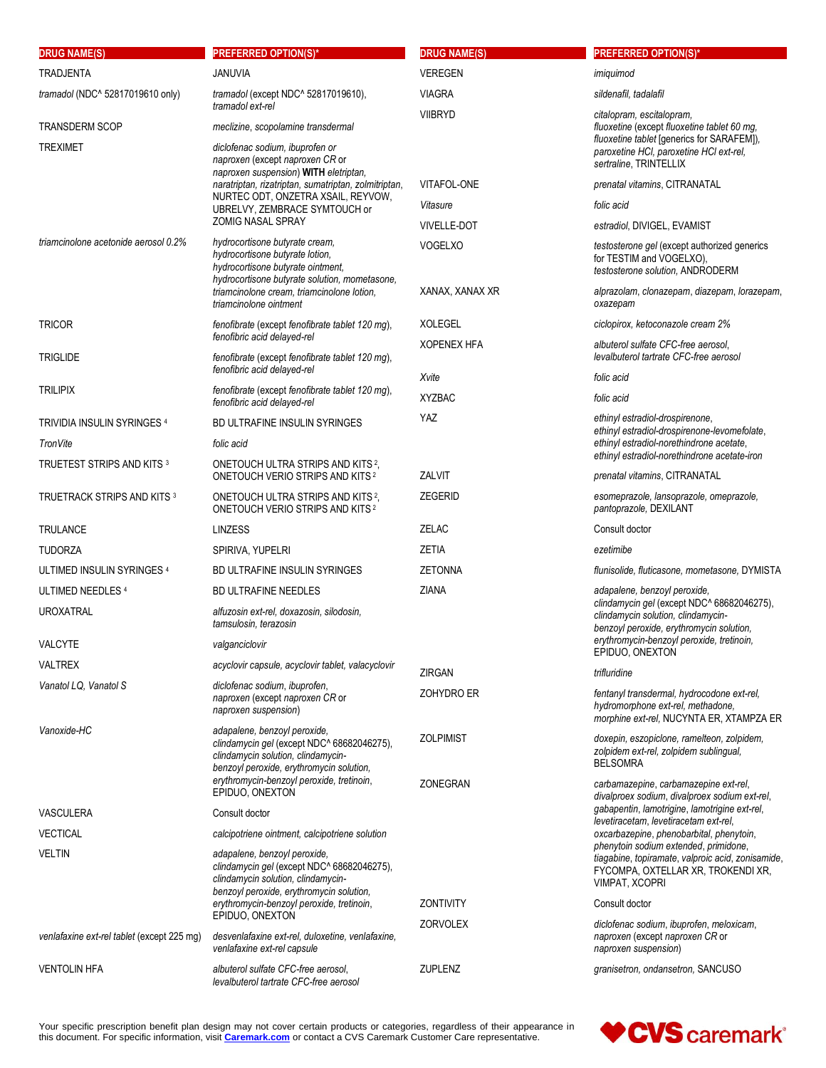| <b>DRUG NAME(S)</b>                        | <b>PREFERRED OPTION(S)*</b>                                                                                                                                  | <b>DRUG NAME(S)</b> | <b>PREFERRED OPTION(S)*</b>                                                                                                                        |
|--------------------------------------------|--------------------------------------------------------------------------------------------------------------------------------------------------------------|---------------------|----------------------------------------------------------------------------------------------------------------------------------------------------|
| <b>TRADJENTA</b>                           | <b>JANUVIA</b>                                                                                                                                               | VEREGEN             | imiguimod                                                                                                                                          |
| tramadol (NDC^ 52817019610 only)           | tramadol (except NDC^ 52817019610),                                                                                                                          | <b>VIAGRA</b>       | sildenafil, tadalafil                                                                                                                              |
|                                            | tramadol ext-rel                                                                                                                                             | <b>VIIBRYD</b>      | citalopram, escitalopram,                                                                                                                          |
| <b>TRANSDERM SCOP</b><br><b>TREXIMET</b>   | meclizine, scopolamine transdermal<br>diclofenac sodium, ibuprofen or<br>naproxen (except naproxen CR or                                                     |                     | fluoxetine (except fluoxetine tablet 60 mg,<br>fluoxetine tablet [generics for SARAFEM]),<br>paroxetine HCI, paroxetine HCI ext-rel,               |
|                                            | naproxen suspension) WITH eletriptan,<br>naratriptan, rizatriptan, sumatriptan, zolmitriptan,                                                                | VITAFOL-ONE         | sertraline, TRINTELLIX                                                                                                                             |
|                                            | NURTEC ODT, ONZETRA XSAIL, REYVOW,                                                                                                                           | Vitasure            | prenatal vitamins, CITRANATAL<br>folic acid                                                                                                        |
|                                            | UBRELVY, ZEMBRACE SYMTOUCH or<br><b>ZOMIG NASAL SPRAY</b>                                                                                                    | <b>VIVELLE-DOT</b>  | estradiol, DIVIGEL, EVAMIST                                                                                                                        |
| triamcinolone acetonide aerosol 0.2%       | hydrocortisone butyrate cream,                                                                                                                               | <b>VOGELXO</b>      | testosterone gel (except authorized generics                                                                                                       |
|                                            | hydrocortisone butyrate lotion,<br>hydrocortisone butyrate ointment,<br>hydrocortisone butyrate solution, mometasone,                                        |                     | for TESTIM and VOGELXO),<br>testosterone solution, ANDRODERM                                                                                       |
|                                            | triamcinolone cream, triamcinolone lotion,<br>triamcinolone ointment                                                                                         | XANAX, XANAX XR     | alprazolam, clonazepam, diazepam, lorazepam,<br>oxazepam                                                                                           |
| <b>TRICOR</b>                              | fenofibrate (except fenofibrate tablet 120 mg),                                                                                                              | <b>XOLEGEL</b>      | ciclopirox, ketoconazole cream 2%                                                                                                                  |
| <b>TRIGLIDE</b>                            | fenofibric acid delayed-rel<br>fenofibrate (except fenofibrate tablet 120 mg),                                                                               | <b>XOPENEX HFA</b>  | albuterol sulfate CFC-free aerosol,<br>levalbuterol tartrate CFC-free aerosol                                                                      |
|                                            | fenofibric acid delayed-rel                                                                                                                                  | Xvite               | folic acid                                                                                                                                         |
| <b>TRILIPIX</b>                            | fenofibrate (except fenofibrate tablet 120 mg),<br>fenofibric acid delayed-rel                                                                               | <b>XYZBAC</b>       | folic acid                                                                                                                                         |
| TRIVIDIA INSULIN SYRINGES 4                | BD ULTRAFINE INSULIN SYRINGES                                                                                                                                | <b>YAZ</b>          | ethinyl estradiol-drospirenone,<br>ethinyl estradiol-drospirenone-levomefolate,                                                                    |
| TronVite                                   | folic acid                                                                                                                                                   |                     | ethinyl estradiol-norethindrone acetate,<br>ethinyl estradiol-norethindrone acetate-iron                                                           |
| TRUETEST STRIPS AND KITS 3                 | ONETOUCH ULTRA STRIPS AND KITS <sup>2</sup> ,<br>ONETOUCH VERIO STRIPS AND KITS <sup>2</sup>                                                                 | ZALVIT              | prenatal vitamins, CITRANATAL                                                                                                                      |
| <b>TRUETRACK STRIPS AND KITS 3</b>         | ONETOUCH ULTRA STRIPS AND KITS <sup>2</sup> ,<br><b>ONETOUCH VERIO STRIPS AND KITS 2</b>                                                                     | <b>ZEGERID</b>      | esomeprazole, lansoprazole, omeprazole,<br>pantoprazole, DEXILANT                                                                                  |
| <b>TRULANCE</b>                            | <b>LINZESS</b>                                                                                                                                               | <b>ZELAC</b>        | Consult doctor                                                                                                                                     |
| <b>TUDORZA</b>                             | SPIRIVA, YUPELRI                                                                                                                                             | <b>ZETIA</b>        | ezetimibe                                                                                                                                          |
| ULTIMED INSULIN SYRINGES 4                 | BD ULTRAFINE INSULIN SYRINGES                                                                                                                                | <b>ZETONNA</b>      | flunisolide, fluticasone, mometasone, DYMISTA                                                                                                      |
| ULTIMED NEEDLES 4                          | <b>BD ULTRAFINE NEEDLES</b>                                                                                                                                  | ZIANA               | adapalene, benzoyl peroxide,<br>clindamycin gel (except NDC^ 68682046275),                                                                         |
| <b>UROXATRAL</b>                           | alfuzosin ext-rel, doxazosin, silodosin,<br>tamsulosin, terazosin                                                                                            |                     | clindamycin solution, clindamycin-<br>benzoyl peroxide, erythromycin solution,                                                                     |
| VALCYTE                                    | valganciclovir                                                                                                                                               |                     | erythromycin-benzoyl peroxide, tretinoin,<br>EPIDUO, ONEXTON                                                                                       |
| VALTREX                                    | acyclovir capsule, acyclovir tablet, valacyclovir                                                                                                            | ZIRGAN              | trifluridine                                                                                                                                       |
| Vanatol LQ, Vanatol S                      | diclofenac sodium, ibuprofen,<br>naproxen (except naproxen CR or<br>naproxen suspension)                                                                     | <b>ZOHYDRO ER</b>   | fentanyl transdermal, hydrocodone ext-rel,<br>hydromorphone ext-rel, methadone,<br>morphine ext-rel, NUCYNTA ER, XTAMPZA ER                        |
| Vanoxide-HC                                | adapalene, benzoyl peroxide,<br>clindamycin gel (except NDC^ 68682046275),<br>clindamycin solution, clindamycin-<br>benzoyl peroxide, erythromycin solution, | <b>ZOLPIMIST</b>    | doxepin, eszopiclone, ramelteon, zolpidem,<br>zolpidem ext-rel, zolpidem sublingual,<br><b>BELSOMRA</b>                                            |
|                                            | erythromycin-benzoyl peroxide, tretinoin,<br>EPIDUO, ONEXTON                                                                                                 | ZONEGRAN            | carbamazepine, carbamazepine ext-rel,<br>divalproex sodium, divalproex sodium ext-rel,                                                             |
| VASCULERA                                  | Consult doctor                                                                                                                                               |                     | gabapentin, lamotrigine, lamotrigine ext-rel,<br>levetiracetam, levetiracetam ext-rel,                                                             |
| <b>VECTICAL</b>                            | calcipotriene ointment, calcipotriene solution                                                                                                               |                     | oxcarbazepine, phenobarbital, phenytoin,                                                                                                           |
| VELTIN                                     | adapalene, benzoyl peroxide,<br>clindamycin gel (except NDC^ 68682046275),<br>clindamycin solution, clindamycin-<br>benzoyl peroxide, erythromycin solution, |                     | phenytoin sodium extended, primidone,<br>tiagabine, topiramate, valproic acid, zonisamide,<br>FYCOMPA, OXTELLAR XR, TROKENDI XR,<br>VIMPAT, XCOPRI |
|                                            | erythromycin-benzoyl peroxide, tretinoin,<br>EPIDUO, ONEXTON                                                                                                 | <b>ZONTIVITY</b>    | Consult doctor                                                                                                                                     |
| venlafaxine ext-rel tablet (except 225 mg) | desvenlafaxine ext-rel, duloxetine, venlafaxine,<br>venlafaxine ext-rel capsule                                                                              | <b>ZORVOLEX</b>     | diclofenac sodium, ibuprofen, meloxicam,<br>naproxen (except naproxen CR or<br>naproxen suspension)                                                |
| VENTOLIN HFA                               | albuterol sulfate CFC-free aerosol,<br>levalbuterol tartrate CFC-free aerosol                                                                                | <b>ZUPLENZ</b>      | granisetron, ondansetron, SANCUSO                                                                                                                  |

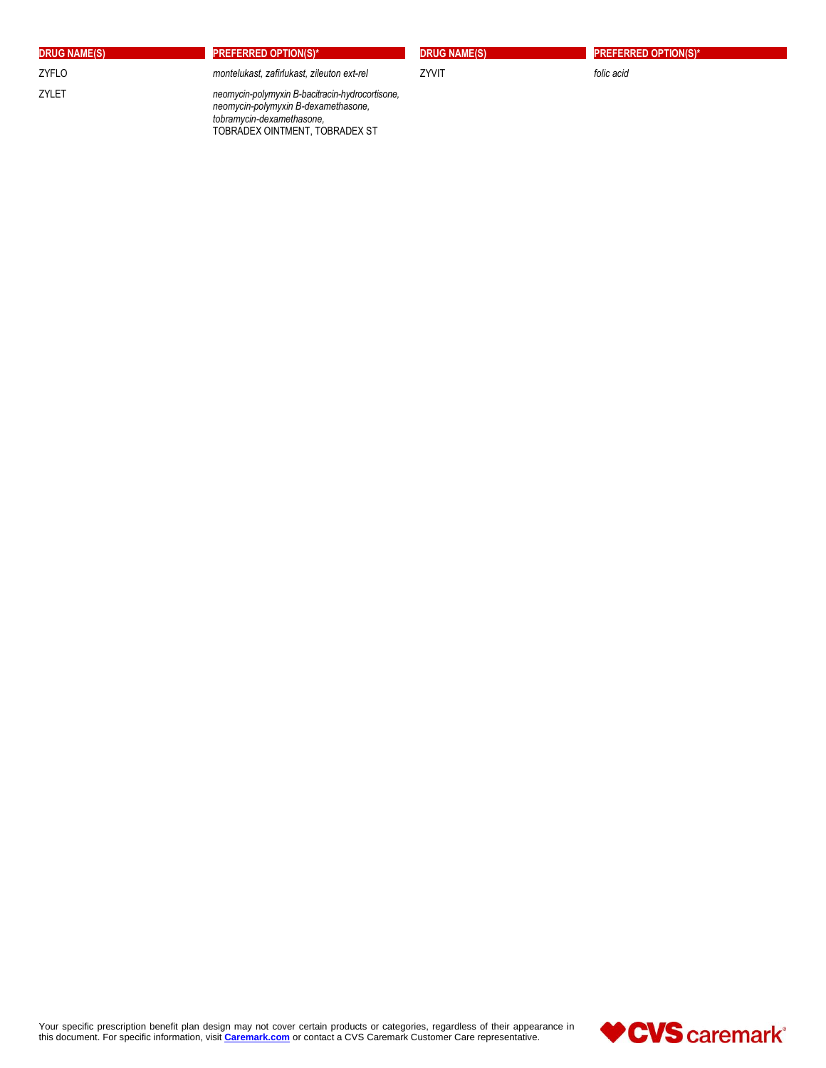| <b>DRUG NAME(S)</b> | <b>PREFERRED OPTION(S)*</b>                                                                                         | <b>DRUG NAME(S)</b> | <b>PREFERRED OPTION(S)*</b> |
|---------------------|---------------------------------------------------------------------------------------------------------------------|---------------------|-----------------------------|
| ZYFLO               | montelukast, zafirlukast, zileuton ext-rel                                                                          | ZYVIT               | folic acid                  |
| ZYLET               | neomycin-polymyxin B-bacitracin-hydrocortisone,<br>neomycin-polymyxin B-dexamethasone,<br>tobramycin-dexamethasone. |                     |                             |

TOBRADEX OINTMENT, TOBRADEX ST